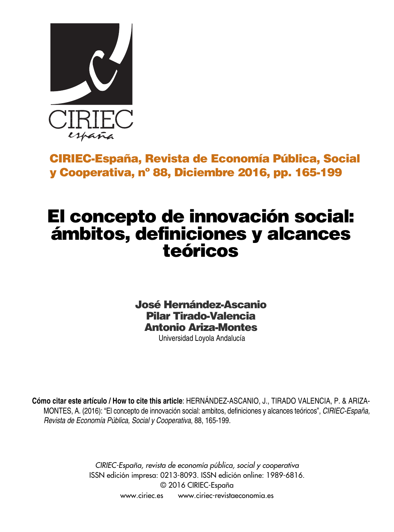

# **CIRIEC-España, Revista de Economía Pública, Social y Cooperativa, nº 88, Diciembre 2016, pp. 165-199**

# **El concepto de innovación social: ámbitos, definiciones y alcances teóricos**

**José Hernández-Ascanio Pilar Tirado-Valencia Antonio Ariza-Montes**

Universidad Loyola Andalucía

**Cómo citar este artículo / How to cite this article**: HERNÁNDEZ-ASCANIO, J., TIRADO VALENCIA, P. & ARIZA-MONTES, A. (2016): "El concepto de innovación social: ambitos, definiciones y alcances teóricos", *CIRIEC-España, Revista de Economía Pública, Social y Cooperativa*, 88, 165-199.

> *CIRIEC-España, revista de economía pública, social y cooperativa* ISSN edición impresa: 0213-8093. ISSN edición online: 1989-6816. © 2016 CIRIEC-España www.ciriec.es www.ciriec-revistaeconomia.es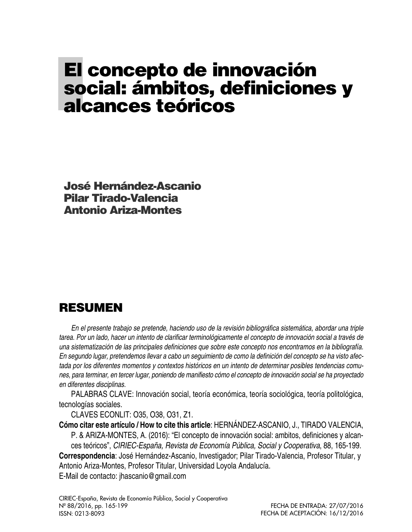# **El concepto de innovación social: ámbitos, definiciones y alcances teóricos**

**José Hernández-Ascanio Pilar Tirado-Valencia Antonio Ariza-Montes**

# **RESUMEN**

*En el presente trabajo se pretende, haciendo uso de la revisión bibliográfica sistemática, abordar una triple* tarea. Por un lado, hacer un intento de clarificar terminológicamente el concepto de innovación social a través de *una sistematización de las principales definiciones que sobre este concepto nos encontramos en la bibliografía.* En segundo lugar, pretendemos llevar a cabo un seguimiento de como la definición del concepto se ha visto afec*tada por los diferentes momentos y contextos históricos en un intento de determinar posibles tendencias comu*nes, para terminar, en tercer lugar, poniendo de manifiesto cómo el concepto de innovación social se ha proyectado *en diferentes disciplinas.*

PALABRAS CLAVE: Innovación social, teoría económica, teoría sociológica, teoría politológica, tecnologías sociales.

CLAVES ECONLIT: O35, O38, O31, Z1.

**Cómo citar este artículo / How to cite this article**: HERNÁNDEZ-ASCANIO, J., TIRADO VALENCIA,

P. & ARIZA-MONTES, A. (2016): "El concepto de innovación social: ambitos, definiciones y alcances teóricos", *CIRIEC-España, Revista de Economía Pública, Social y Cooperativa*, 88, 165-199. **Correspondencia**: José Hernández-Ascanio, Investigador; Pilar Tirado-Valencia, Profesor Titular, y Antonio Ariza-Montes, Profesor Titular, Universidad Loyola Andalucía. E-Mail de contacto: jhascanio@gmail.com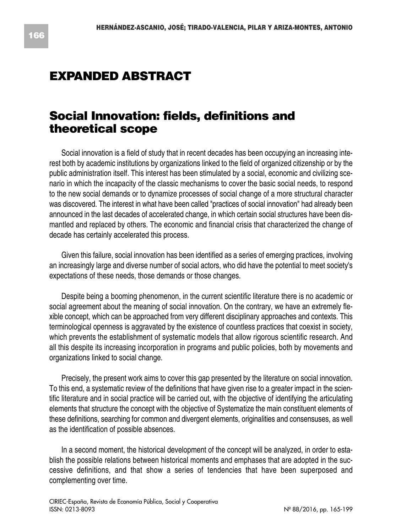# **EXPANDED ABSTRACT**

# **Social Innovation: fields, definitions and theoretical scope**

Social innovation is a field of study that in recent decades has been occupying an increasing interest both by academic institutions by organizations linked to the field of organized citizenship or by the public administration itself. This interest has been stimulated by a social, economic and civilizing scenario in which the incapacity of the classic mechanisms to cover the basic social needs, to respond to the new social demands or to dynamize processes of social change of a more structural character was discovered. The interest in what have been called "practices of social innovation" had already been announced in the last decades of accelerated change, in which certain social structures have been dismantled and replaced by others. The economic and financial crisis that characterized the change of decade has certainly accelerated this process.

Given this failure, social innovation has been identified as a series of emerging practices, involving an increasingly large and diverse number of social actors, who did have the potential to meet society's expectations of these needs, those demands or those changes.

Despite being a booming phenomenon, in the current scientific literature there is no academic or social agreement about the meaning of social innovation. On the contrary, we have an extremely flexible concept, which can be approached from very different disciplinary approaches and contexts. This terminological openness is aggravated by the existence of countless practices that coexist in society, which prevents the establishment of systematic models that allow rigorous scientific research. And all this despite its increasing incorporation in programs and public policies, both by movements and organizations linked to social change.

Precisely, the present work aims to cover this gap presented by the literature on social innovation. To this end, a systematic review of the definitions that have given rise to a greater impact in the scientific literature and in social practice will be carried out, with the objective of identifying the articulating elements that structure the concept with the objective of Systematize the main constituent elements of these definitions, searching for common and divergent elements, originalities and consensuses, as well as the identification of possible absences.

In a second moment, the historical development of the concept will be analyzed, in order to establish the possible relations between historical moments and emphases that are adopted in the successive definitions, and that show a series of tendencies that have been superposed and complementing over time.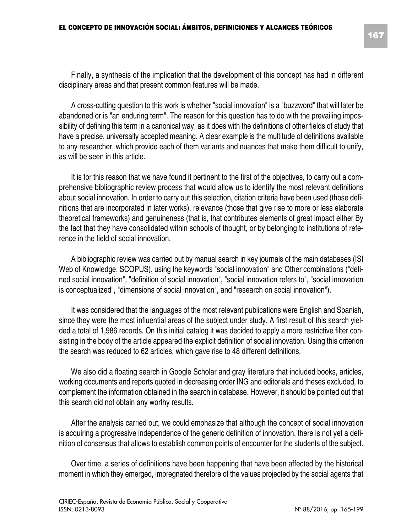Finally, a synthesis of the implication that the development of this concept has had in different disciplinary areas and that present common features will be made.

A cross-cutting question to this work is whether "social innovation" is a "buzzword" that will later be abandoned or is "an enduring term". The reason for this question has to do with the prevailing impossibility of defining this term in a canonical way, as it does with the definitions of other fields of study that have a precise, universally accepted meaning. A clear example is the multitude of definitions available to any researcher, which provide each of them variants and nuances that make them difficult to unify, as will be seen in this article.

It is for this reason that we have found it pertinent to the first of the objectives, to carry out a comprehensive bibliographic review process that would allow us to identify the most relevant definitions about social innovation. In order to carry out this selection, citation criteria have been used (those definitions that are incorporated in later works), relevance (those that give rise to more or less elaborate theoretical frameworks) and genuineness (that is, that contributes elements of great impact either By the fact that they have consolidated within schools of thought, or by belonging to institutions of reference in the field of social innovation.

A bibliographic review was carried out by manual search in key journals of the main databases (ISI Web of Knowledge, SCOPUS), using the keywords "social innovation" and Other combinations ("defined social innovation", "definition of social innovation", "social innovation refers to", "social innovation is conceptualized", "dimensions of social innovation", and "research on social innovation").

It was considered that the languages of the most relevant publications were English and Spanish, since they were the most influential areas of the subject under study. A first result of this search yielded a total of 1,986 records. On this initial catalog it was decided to apply a more restrictive filter consisting in the body of the article appeared the explicit definition of social innovation. Using this criterion the search was reduced to 62 articles, which gave rise to 48 different definitions.

We also did a floating search in Google Scholar and gray literature that included books, articles, working documents and reports quoted in decreasing order ING and editorials and theses excluded, to complement the information obtained in the search in database. However, it should be pointed out that this search did not obtain any worthy results.

After the analysis carried out, we could emphasize that although the concept of social innovation is acquiring a progressive independence of the generic definition of innovation, there is not yet a definition of consensus that allows to establish common points of encounter for the students of the subject.

Over time, a series of definitions have been happening that have been affected by the historical moment in which they emerged, impregnated therefore of the values projected by the social agents that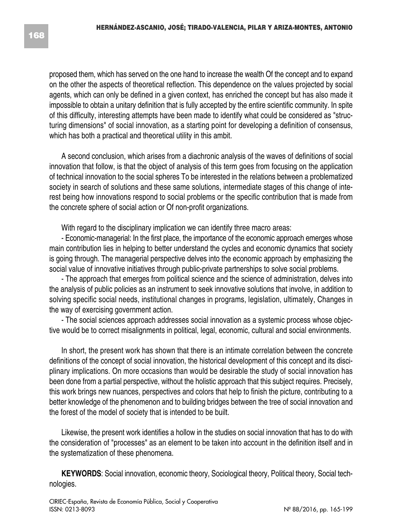proposed them, which has served on the one hand to increase the wealth Of the concept and to expand on the other the aspects of theoretical reflection. This dependence on the values projected by social agents, which can only be defined in a given context, has enriched the concept but has also made it impossible to obtain a unitary definition that is fully accepted by the entire scientific community. In spite of this difficulty, interesting attempts have been made to identify what could be considered as "structuring dimensions" of social innovation, as a starting point for developing a definition of consensus, which has both a practical and theoretical utility in this ambit.

A second conclusion, which arises from a diachronic analysis of the waves of definitions of social innovation that follow, is that the object of analysis of this term goes from focusing on the application of technical innovation to the social spheres To be interested in the relations between a problematized society in search of solutions and these same solutions, intermediate stages of this change of interest being how innovations respond to social problems or the specific contribution that is made from the concrete sphere of social action or Of non-profit organizations.

With regard to the disciplinary implication we can identify three macro areas:

- Economic-managerial: In the first place, the importance of the economic approach emerges whose main contribution lies in helping to better understand the cycles and economic dynamics that society is going through. The managerial perspective delves into the economic approach by emphasizing the social value of innovative initiatives through public-private partnerships to solve social problems.

- The approach that emerges from political science and the science of administration, delves into the analysis of public policies as an instrument to seek innovative solutions that involve, in addition to solving specific social needs, institutional changes in programs, legislation, ultimately, Changes in the way of exercising government action.

- The social sciences approach addresses social innovation as a systemic process whose objective would be to correct misalignments in political, legal, economic, cultural and social environments.

In short, the present work has shown that there is an intimate correlation between the concrete definitions of the concept of social innovation, the historical development of this concept and its disciplinary implications. On more occasions than would be desirable the study of social innovation has been done from a partial perspective, without the holistic approach that this subject requires. Precisely, this work brings new nuances, perspectives and colors that help to finish the picture, contributing to a better knowledge of the phenomenon and to building bridges between the tree of social innovation and the forest of the model of society that is intended to be built.

Likewise, the present work identifies a hollow in the studies on social innovation that has to do with the consideration of "processes" as an element to be taken into account in the definition itself and in the systematization of these phenomena.

**KEYWORDS**: Social innovation, economic theory, Sociological theory, Political theory, Social technologies.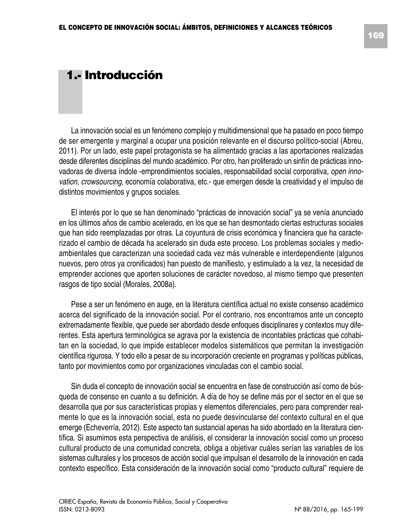### **1.- Introducción**

La innovación social es un fenómeno complejo y multidimensional que ha pasado en poco tiempo de ser emergente y marginal a ocupar una posición relevante en el discurso político-social (Abreu, 2011). Por un lado, este papel protagonista se ha alimentado gracias a las aportaciones realizadas desde diferentes disciplinas del mundo académico. Por otro, han proliferado un sinfín de prácticas innovadoras de diversa índole -emprendimientos sociales, responsabilidad social corporativa, *open innovation*, *crowsourcing*, economía colaborativa, etc.- que emergen desde la creatividad y el impulso de distintos movimientos y grupos sociales.

El interés por lo que se han denominado "prácticas de innovación social" ya se venía anunciado en los últimos años de cambio acelerado, en los que se han desmontado ciertas estructuras sociales que han sido reemplazadas por otras. La coyuntura de crisis económica y financiera que ha caracterizado el cambio de década ha acelerado sin duda este proceso. Los problemas sociales y medioambientales que caracterizan una sociedad cada vez más vulnerable e interdependiente (algunos nuevos, pero otros ya cronificados) han puesto de manifiesto, y estimulado a la vez, la necesidad de emprender acciones que aporten soluciones de carácter novedoso, al mismo tiempo que presenten rasgos de tipo social (Morales, 2008a).

Pese a ser un fenómeno en auge, en la literatura científica actual no existe consenso académico acerca del significado de la innovación social. Por el contrario, nos encontramos ante un concepto extremadamente flexible, que puede ser abordado desde enfoques disciplinares y contextos muy diferentes. Esta apertura terminológica se agrava por la existencia de incontables prácticas que cohabitan en la sociedad, lo que impide establecer modelos sistemáticos que permitan la investigación científica rigurosa. Y todo ello a pesar de su incorporación creciente en programas y políticas públicas, tanto por movimientos como por organizaciones vinculadas con el cambio social.

Sin duda el concepto de innovación social se encuentra en fase de construcción así como de búsqueda de consenso en cuanto a su definición. A día de hoy se define más por el sector en el que se desarrolla que por sus características propias y elementos diferenciales, pero para comprender realmente lo que es la innovación social, esta no puede desvincularse del contexto cultural en el que emerge (Echeverría, 2012). Este aspecto tan sustancial apenas ha sido abordado en la literatura científica. Si asumimos esta perspectiva de análisis, el considerar la innovación social como un proceso cultural producto de una comunidad concreta, obliga a objetivar cuáles serían las variables de los sistemas culturales y los procesos de acción social que impulsan el desarrollo de la innovación en cada contexto específico. Esta consideración de la innovación social como "producto cultural" requiere de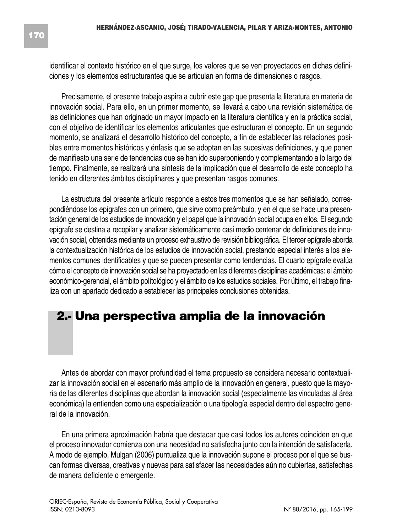identificar el contexto histórico en el que surge, los valores que se ven proyectados en dichas definiciones y los elementos estructurantes que se articulan en forma de dimensiones o rasgos.

Precisamente, el presente trabajo aspira a cubrir este gap que presenta la literatura en materia de innovación social. Para ello, en un primer momento, se llevará a cabo una revisión sistemática de las definiciones que han originado un mayor impacto en la literatura científica y en la práctica social, con el objetivo de identificar los elementos articulantes que estructuran el concepto. En un segundo momento, se analizará el desarrollo histórico del concepto, a fin de establecer las relaciones posibles entre momentos históricos y énfasis que se adoptan en las sucesivas definiciones, y que ponen de manifiesto una serie de tendencias que se han ido superponiendo y complementando a lo largo del tiempo. Finalmente, se realizará una síntesis de la implicación que el desarrollo de este concepto ha tenido en diferentes ámbitos disciplinares y que presentan rasgos comunes.

La estructura del presente artículo responde a estos tres momentos que se han señalado, correspondiéndose los epígrafes con un primero, que sirve como preámbulo, y en el que se hace una presentación general de los estudios de innovación y el papel que la innovación social ocupa en ellos. El segundo epígrafe se destina a recopilar y analizar sistemáticamente casi medio centenar de definiciones de innovación social, obtenidas mediante un proceso exhaustivo de revisión bibliográfica. El tercer epígrafe aborda la contextualización histórica de los estudios de innovación social, prestando especial interés a los elementos comunes identificables y que se pueden presentar como tendencias. El cuarto epígrafe evalúa cómo el concepto de innovación social se ha proyectado en las diferentes disciplinas académicas: el ámbito económico-gerencial, el ámbito polítológico y el ámbito de los estudios sociales. Por último, el trabajo finaliza con un apartado dedicado a establecer las principales conclusiones obtenidas.

# **2.- Una perspectiva amplia de la innovación**

Antes de abordar con mayor profundidad el tema propuesto se considera necesario contextualizar la innovación social en el escenario más amplio de la innovación en general, puesto que la mayoría de las diferentes disciplinas que abordan la innovación social (especialmente las vinculadas al área económica) la entienden como una especialización o una tipología especial dentro del espectro general de la innovación.

En una primera aproximación habría que destacar que casi todos los autores coinciden en que el proceso innovador comienza con una necesidad no satisfecha junto con la intención de satisfacerla. A modo de ejemplo, Mulgan (2006) puntualiza que la innovación supone el proceso por el que se buscan formas diversas, creativas y nuevas para satisfacer las necesidades aún no cubiertas, satisfechas de manera deficiente o emergente.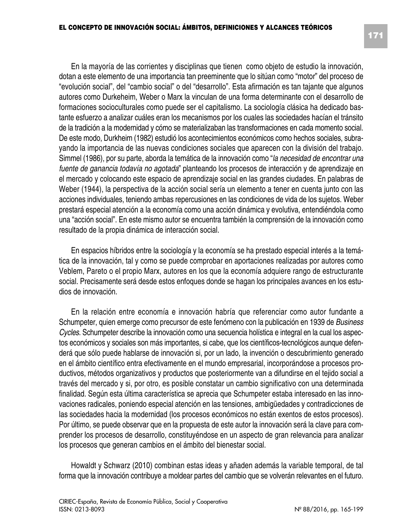En la mayoría de las corrientes y disciplinas que tienen como objeto de estudio la innovación, dotan a este elemento de una importancia tan preeminente que lo sitúan como "motor" del proceso de "evolución social", del "cambio social" o del "desarrollo". Esta afirmación es tan tajante que algunos autores como Durkeheim, Weber o Marx la vinculan de una forma determinante con el desarrollo de formaciones socioculturales como puede ser el capitalismo. La sociología clásica ha dedicado bastante esfuerzo a analizar cuáles eran los mecanismos por los cuales las sociedades hacían el tránsito de la tradición a la modernidad y cómo se materializaban las transformaciones en cada momento social.

De este modo, Durkheim (1982) estudió los acontecimientos económicos como hechos sociales, subrayando la importancia de las nuevas condiciones sociales que aparecen con la división del trabajo. Simmel (1986), por su parte, aborda la temática de la innovación como "*la necesidad de encontrar una fuente de ganancia todavía no agotada*" planteando los procesos de interacción y de aprendizaje en el mercado y colocando este espacio de aprendizaje social en las grandes ciudades. En palabras de Weber (1944), la perspectiva de la acción social sería un elemento a tener en cuenta junto con las acciones individuales, teniendo ambas repercusiones en las condiciones de vida de los sujetos. Weber prestará especial atención a la economía como una acción dinámica y evolutiva, entendiéndola como una "acción social". En este mismo autor se encuentra también la comprensión de la innovación como resultado de la propia dinámica de interacción social.

En espacios híbridos entre la sociología y la economía se ha prestado especial interés a la temática de la innovación, tal y como se puede comprobar en aportaciones realizadas por autores como Veblem, Pareto o el propio Marx, autores en los que la economía adquiere rango de estructurante social. Precisamente será desde estos enfoques donde se hagan los principales avances en los estudios de innovación.

En la relación entre economía e innovación habría que referenciar como autor fundante a Schumpeter, quien emerge como precursor de este fenómeno con la publicación en 1939 de *Business Cycles*. Schumpeter describe la innovación como una secuencia holística e integral en la cual los aspectos económicos y sociales son más importantes, si cabe, que los científicos-tecnológicos aunque defenderá que sólo puede hablarse de innovación si, por un lado, la invención o descubrimiento generado en el ámbito científico entra efectivamente en el mundo empresarial, incorporándose a procesos productivos, métodos organizativos y productos que posteriormente van a difundirse en el tejido social a través del mercado y si, por otro, es posible constatar un cambio significativo con una determinada finalidad. Según esta última característica se aprecia que Schumpeter estaba interesado en las innovaciones radicales, poniendo especial atención en las tensiones, ambigüedades y contradicciones de las sociedades hacia la modernidad (los procesos económicos no están exentos de estos procesos). Por último, se puede observar que en la propuesta de este autor la innovación será la clave para comprender los procesos de desarrollo, constituyéndose en un aspecto de gran relevancia para analizar los procesos que generan cambios en el ámbito del bienestar social.

Howaldt y Schwarz (2010) combinan estas ideas y añaden además la variable temporal, de tal forma que la innovación contribuye a moldear partes del cambio que se volverán relevantes en el futuro.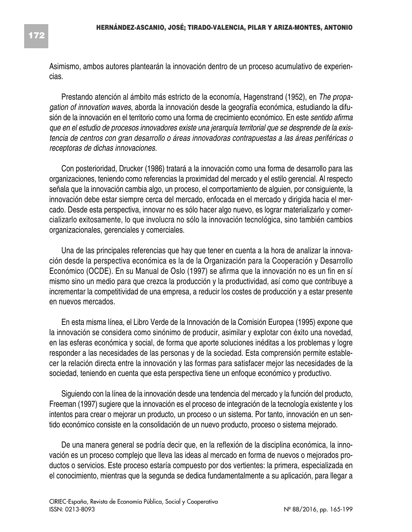Asimismo, ambos autores plantearán la innovación dentro de un proceso acumulativo de experiencias.

Prestando atención al ámbito más estricto de la economía, Hagenstrand (1952), en *The propagation of innovation waves*, aborda la innovación desde la geografía económica, estudiando la difusión de la innovación en el territorio como una forma de crecimiento económico. En este *sentido afirma que en el estudio de procesos innovadores existe una jerarquía territorial que se desprende de la existencia de centros con gran desarrollo o áreas innovadoras contrapuestas a las áreas periféricas o receptoras de dichas innovaciones.*

Con posterioridad, Drucker (1986) tratará a la innovación como una forma de desarrollo para las organizaciones, teniendo como referencias la proximidad del mercado y el estilo gerencial. Al respecto señala que la innovación cambia algo, un proceso, el comportamiento de alguien, por consiguiente, la innovación debe estar siempre cerca del mercado, enfocada en el mercado y dirigida hacia el mercado. Desde esta perspectiva, innovar no es sólo hacer algo nuevo, es lograr materializarlo y comercializarlo exitosamente, lo que involucra no sólo la innovación tecnológica, sino también cambios organizacionales, gerenciales y comerciales.

Una de las principales referencias que hay que tener en cuenta a la hora de analizar la innovación desde la perspectiva económica es la de la Organización para la Cooperación y Desarrollo Económico (OCDE). En su Manual de Oslo (1997) se afirma que la innovación no es un fin en sí mismo sino un medio para que crezca la producción y la productividad, así como que contribuye a incrementar la competitividad de una empresa, a reducir los costes de producción y a estar presente en nuevos mercados*.*

En esta misma línea, el Libro Verde de la Innovación de la Comisión Europea (1995) expone que la innovación se considera como sinónimo de producir, asimilar y explotar con éxito una novedad, en las esferas económica y social, de forma que aporte soluciones inéditas a los problemas y logre responder a las necesidades de las personas y de la sociedad. Esta comprensión permite establecer la relación directa entre la innovación y las formas para satisfacer mejor las necesidades de la sociedad, teniendo en cuenta que esta perspectiva tiene un enfoque económico y productivo.

Siguiendo con la línea de la innovación desde una tendencia del mercado y la función del producto, Freeman (1997) sugiere que la innovación es el proceso de integración de la tecnología existente y los intentos para crear o mejorar un producto, un proceso o un sistema. Por tanto, innovación en un sentido económico consiste en la consolidación de un nuevo producto, proceso o sistema mejorado.

De una manera general se podría decir que, en la reflexión de la disciplina económica, la innovación es un proceso complejo que lleva las ideas al mercado en forma de nuevos o mejorados productos o servicios. Este proceso estaría compuesto por dos vertientes: la primera, especializada en el conocimiento, mientras que la segunda se dedica fundamentalmente a su aplicación, para llegar a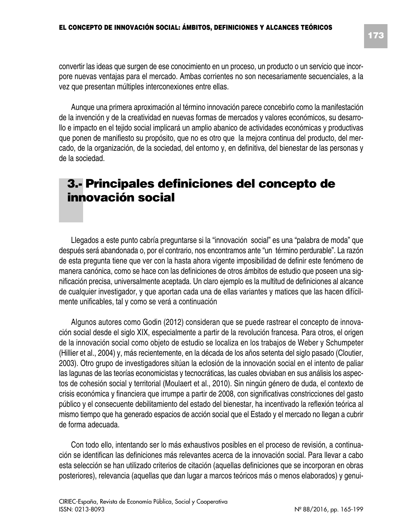convertir las ideas que surgen de ese conocimiento en un proceso, un producto o un servicio que incorpore nuevas ventajas para el mercado. Ambas corrientes no son necesariamente secuenciales, a la vez que presentan múltiples interconexiones entre ellas.

Aunque una primera aproximación al término innovación parece concebirlo como la manifestación de la invención y de la creatividad en nuevas formas de mercados y valores económicos, su desarrollo e impacto en el tejido social implicará un amplio abanico de actividades económicas y productivas que ponen de manifiesto su propósito, que no es otro que la mejora continua del producto, del mercado, de la organización, de la sociedad, del entorno y, en definitiva, del bienestar de las personas y de la sociedad.

# **3.- Principales definiciones del concepto de innovación social**

Llegados a este punto cabría preguntarse si la "innovación social" es una "palabra de moda" que después será abandonada o, por el contrario, nos encontramos ante "un término perdurable". La razón de esta pregunta tiene que ver con la hasta ahora vigente imposibilidad de definir este fenómeno de manera canónica, como se hace con las definiciones de otros ámbitos de estudio que poseen una significación precisa, universalmente aceptada. Un claro ejemplo es la multitud de definiciones al alcance de cualquier investigador, y que aportan cada una de ellas variantes y matices que las hacen difícilmente unificables, tal y como se verá a continuación

Algunos autores como Godin (2012) consideran que se puede rastrear el concepto de innovación social desde el siglo XIX, especialmente a partir de la revolución francesa. Para otros, el origen de la innovación social como objeto de estudio se localiza en los trabajos de Weber y Schumpeter (Hillier et al., 2004) y, más recientemente, en la década de los años setenta del siglo pasado (Cloutier, 2003). Otro grupo de investigadores sitúan la eclosión de la innovación social en el intento de paliar las lagunas de las teorías economicistas y tecnocráticas, las cuales obviaban en sus análisis los aspectos de cohesión social y territorial (Moulaert et al., 2010). Sin ningún género de duda, el contexto de crisis económica y financiera que irrumpe a partir de 2008, con significativas constricciones del gasto público y el consecuente debilitamiento del estado del bienestar, ha incentivado la reflexión teórica al mismo tiempo que ha generado espacios de acción social que el Estado y el mercado no llegan a cubrir de forma adecuada.

Con todo ello, intentando ser lo más exhaustivos posibles en el proceso de revisión, a continuación se identifican las definiciones más relevantes acerca de la innovación social. Para llevar a cabo esta selección se han utilizado criterios de citación (aquellas definiciones que se incorporan en obras posteriores), relevancia (aquellas que dan lugar a marcos teóricos más o menos elaborados) y genui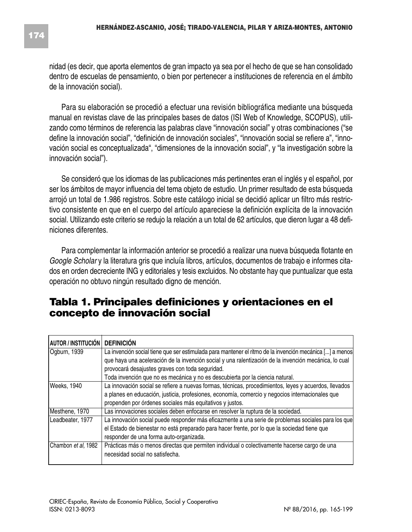nidad (es decir, que aporta elementos de gran impacto ya sea por el hecho de que se han consolidado dentro de escuelas de pensamiento, o bien por pertenecer a instituciones de referencia en el ámbito de la innovación social).

Para su elaboración se procedió a efectuar una revisión bibliográfica mediante una búsqueda manual en revistas clave de las principales bases de datos (ISI Web of Knowledge, SCOPUS), utilizando como términos de referencia las palabras clave "innovación social" y otras combinaciones ("se define la innovación social", "definición de innovación sociales", "innovación social se refiere a", "innovación social es conceptualizada", "dimensiones de la innovación social", y "la investigación sobre la innovación social").

Se consideró que los idiomas de las publicaciones más pertinentes eran el inglés y el español, por ser los ámbitos de mayor influencia del tema objeto de estudio. Un primer resultado de esta búsqueda arrojó un total de 1.986 registros. Sobre este catálogo inicial se decidió aplicar un filtro más restrictivo consistente en que en el cuerpo del artículo apareciese la definición explícita de la innovación social. Utilizando este criterio se redujo la relación a un total de 62 artículos, que dieron lugar a 48 definiciones diferentes.

Para complementar la información anterior se procedió a realizar una nueva búsqueda flotante en *Google Scholar* y la literatura gris que incluía libros, artículos, documentos de trabajo e informes citados en orden decreciente ING y editoriales y tesis excluidos. No obstante hay que puntualizar que esta operación no obtuvo ningún resultado digno de mención.

#### **Tabla 1. Principales definiciones y orientaciones en el concepto de innovación social**

| AUTOR / INSTITUCIÓN | <b>DEFINICIÓN</b>                                                                                       |
|---------------------|---------------------------------------------------------------------------------------------------------|
| Oqburn, 1939        | La invención social tiene que ser estimulada para mantener el ritmo de la invención mecánica [] a menos |
|                     | que haya una aceleración de la invención social y una ralentización de la invención mecánica, lo cual   |
|                     | provocará desajustes graves con toda seguridad.                                                         |
|                     | Toda invención que no es mecánica y no es descubierta por la ciencia natural.                           |
| Weeks, 1940         | La innovación social se refiere a nuevas formas, técnicas, procedimientos, leyes y acuerdos, llevados   |
|                     | a planes en educación, justicia, profesiones, economía, comercio y negocios internacionales que         |
|                     | propenden por órdenes sociales más equitativos y justos.                                                |
| Mesthene, 1970      | Las innovaciones sociales deben enfocarse en resolver la ruptura de la sociedad.                        |
| Leadbeater, 1977    | La innovación social puede responder más eficazmente a una serie de problemas sociales para los que     |
|                     | el Estado de bienestar no está preparado para hacer frente, por lo que la sociedad tiene que            |
|                     | responder de una forma auto-organizada.                                                                 |
| Chambon et al, 1982 | Prácticas más o menos directas que permiten individual o colectivamente hacerse cargo de una            |
|                     | necesidad social no satisfecha.                                                                         |
|                     |                                                                                                         |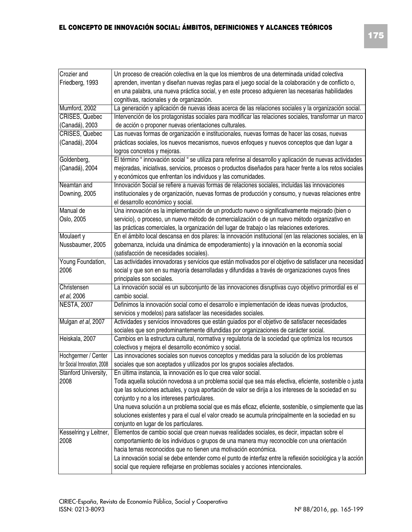| Crozier and                 | Un proceso de creación colectiva en la que los miembros de una determinada unidad colectiva                 |  |  |
|-----------------------------|-------------------------------------------------------------------------------------------------------------|--|--|
| Friedberg, 1993             | aprenden, inventan y diseñan nuevas reglas para el juego social de la colaboración y de conflicto o,        |  |  |
|                             | en una palabra, una nueva práctica social, y en este proceso adquieren las necesarias habilidades           |  |  |
|                             | cognitivas, racionales y de organización.                                                                   |  |  |
| Mumford, 2002               | La generación y aplicación de nuevas ideas acerca de las relaciones sociales y la organización social.      |  |  |
| <b>CRISES, Quebec</b>       | Intervención de los protagonistas sociales para modificar las relaciones sociales, transformar un marco     |  |  |
| (Canadá), 2003              | de acción o proponer nuevas orientaciones culturales.                                                       |  |  |
| CRISES, Quebec              | Las nuevas formas de organización e institucionales, nuevas formas de hacer las cosas, nuevas               |  |  |
| (Canadá), 2004              | prácticas sociales, los nuevos mecanismos, nuevos enfoques y nuevos conceptos que dan lugar a               |  |  |
|                             | logros concretos y mejoras.                                                                                 |  |  |
| Goldenberg,                 | El término " innovación social " se utiliza para referirse al desarrollo y aplicación de nuevas actividades |  |  |
| (Canadá), 2004              | mejoradas, iniciativas, servicios, procesos o productos diseñados para hacer frente a los retos sociales    |  |  |
|                             | y económicos que enfrentan los individuos y las comunidades.                                                |  |  |
| Neamtan and                 | Innovación Social se refiere a nuevas formas de relaciones sociales, incluidas las innovaciones             |  |  |
| Downing, 2005               | institucionales y de organización, nuevas formas de producción y consumo, y nuevas relaciones entre         |  |  |
|                             | el desarrollo económico y social.                                                                           |  |  |
| Manual de                   | Una innovación es la implementación de un producto nuevo o significativamente mejorado (bien o              |  |  |
| Oslo, 2005                  | servicio), o proceso, un nuevo método de comercialización o de un nuevo método organizativo en              |  |  |
|                             | las prácticas comerciales, la organización del lugar de trabajo o las relaciones exteriores.                |  |  |
| Moulaert y                  | En el ámbito local descansa en dos pilares: la innovación institucional (en las relaciones sociales, en la  |  |  |
| Nussbaumer, 2005            | gobernanza, incluida una dinámica de empoderamiento) y la innovación en la economía social                  |  |  |
|                             | (satisfacción de necesidades sociales).                                                                     |  |  |
| Young Foundation,           | Las actividades innovadoras y servicios que están motivados por el objetivo de satisfacer una necesidad     |  |  |
| 2006                        | social y que son en su mayoría desarrolladas y difundidas a través de organizaciones cuyos fines            |  |  |
|                             | principales son sociales.                                                                                   |  |  |
| Christensen                 | La innovación social es un subconjunto de las innovaciones disruptivas cuyo objetivo primordial es el       |  |  |
| et al, 2006                 | cambio social.                                                                                              |  |  |
| <b>NESTA, 2007</b>          | Definimos la innovación social como el desarrollo e implementación de ideas nuevas (productos,              |  |  |
|                             | servicios y modelos) para satisfacer las necesidades sociales.                                              |  |  |
| Mulgan et al, 2007          | Actividades y servicios innovadores que están guiados por el objetivo de satisfacer necesidades             |  |  |
|                             | sociales que son predominantemente difundidas por organizaciones de carácter social.                        |  |  |
| Heiskala, 2007              | Cambios en la estructura cultural, normativa y regulatoria de la sociedad que optimiza los recursos         |  |  |
|                             | colectivos y mejora el desarrollo económico y social.                                                       |  |  |
| Hochgermer / Center         | Las innovaciones sociales son nuevos conceptos y medidas para la solución de los problemas                  |  |  |
| for Social Innovation, 2008 | sociales que son aceptados y utilizados por los grupos sociales afectados.                                  |  |  |
| Stanford University,        | En última instancia, la innovación es lo que crea valor social.                                             |  |  |
| 2008                        | Toda aquella solución novedosa a un problema social que sea más efectiva, eficiente, sostenible o justa     |  |  |
|                             | que las soluciones actuales, y cuya aportación de valor se dirija a los intereses de la sociedad en su      |  |  |
|                             | conjunto y no a los intereses particulares.                                                                 |  |  |
|                             | Una nueva solución a un problema social que es más eficaz, eficiente, sostenible, o simplemente que las     |  |  |
|                             | soluciones existentes y para el cual el valor creado se acumula principalmente en la sociedad en su         |  |  |
|                             | conjunto en lugar de los particulares.                                                                      |  |  |
| Kesselring y Leitner,       | Elementos de cambio social que crean nuevas realidades sociales, es decir, impactan sobre el                |  |  |
| 2008                        | comportamiento de los individuos o grupos de una manera muy reconocible con una orientación                 |  |  |
|                             | hacia temas reconocidos que no tienen una motivación económica.                                             |  |  |
|                             | La innovación social se debe entender como el punto de interfaz entre la reflexión sociológica y la acción  |  |  |
|                             | social que requiere reflejarse en problemas sociales y acciones intencionales.                              |  |  |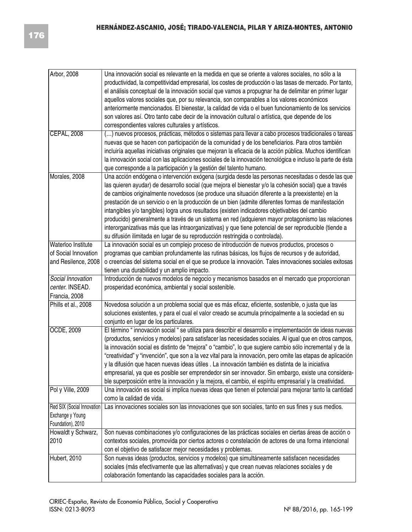| Arbor, 2008                | Una innovación social es relevante en la medida en que se oriente a valores sociales, no sólo a la                                                                |
|----------------------------|-------------------------------------------------------------------------------------------------------------------------------------------------------------------|
|                            | productividad, la competitividad empresarial, los costes de producción o las tasas de mercado. Por tanto,                                                         |
|                            | el análisis conceptual de la innovación social que vamos a propugnar ha de delimitar en primer lugar                                                              |
|                            | aquellos valores sociales que, por su relevancia, son comparables a los valores económicos                                                                        |
|                            | anteriormente mencionados. El bienestar, la calidad de vida o el buen funcionamiento de los servicios                                                             |
|                            | son valores así. Otro tanto cabe decir de la innovación cultural o artística, que depende de los                                                                  |
|                            | correspondientes valores culturales y artísticos.                                                                                                                 |
| <b>CEPAL, 2008</b>         | () nuevos procesos, prácticas, métodos o sistemas para llevar a cabo procesos tradicionales o tareas                                                              |
|                            | nuevas que se hacen con participación de la comunidad y de los beneficiarios. Para otros también                                                                  |
|                            | incluiría aquellas iniciativas originales que mejoran la eficacia de la acción pública. Muchos identifican                                                        |
|                            | la innovación social con las aplicaciones sociales de la innovación tecnológica e incluso la parte de ésta                                                        |
|                            | que corresponde a la participación y la gestión del talento humano.                                                                                               |
| Morales, 2008              | Una acción endógena o intervención exógena (surgida desde las personas necesitadas o desde las que                                                                |
|                            | las quieren ayudar) de desarrollo social (que mejora el bienestar y/o la cohesión social) que a través                                                            |
|                            | de cambios originalmente novedosos (se produce una situación diferente a la preexistente) en la                                                                   |
|                            | prestación de un servicio o en la producción de un bien (admite diferentes formas de manifestación                                                                |
|                            | intangibles y/o tangibles) logra unos resultados (existen indicadores objetivables del cambio                                                                     |
|                            | producido) generalmente a través de un sistema en red (adquieren mayor protagonismo las relaciones                                                                |
|                            | interorganizativas más que las intraorganizativas) y que tiene potencial de ser reproducible (tiende a                                                            |
|                            | su difusión ilimitada en lugar de su reproducción restringida o controlada).                                                                                      |
| Waterloo Institute         | La innovación social es un complejo proceso de introducción de nuevos productos, procesos o                                                                       |
| of Social Innovation       | programas que cambian profundamente las rutinas básicas, los flujos de recursos y de autoridad,                                                                   |
| and Resilence, 2008        | o creencias del sistema social en el que se produce la innovación. Tales innovaciones sociales exitosas                                                           |
|                            | tienen una durabilidad y un amplio impacto.                                                                                                                       |
|                            |                                                                                                                                                                   |
| Social Innovation          | Introducción de nuevos modelos de negocio y mecanismos basados en el mercado que proporcionan                                                                     |
| center. INSEAD.            | prosperidad económica, ambiental y social sostenible.                                                                                                             |
| Francia, 2008              |                                                                                                                                                                   |
| Phills et al., 2008        | Novedosa solución a un problema social que es más eficaz, eficiente, sostenible, o justa que las                                                                  |
|                            | soluciones existentes, y para el cual el valor creado se acumula principalmente a la sociedad en su                                                               |
|                            | conjunto en lugar de los particulares.                                                                                                                            |
| OCDE, 2009                 | El término "innovación social " se utiliza para describir el desarrollo e implementación de ideas nuevas                                                          |
|                            | (productos, servicios y modelos) para satisfacer las necesidades sociales. Al igual que en otros campos,                                                          |
|                            | la innovación social es distinto de "mejora" o "cambio", lo que sugiere cambio sólo incremental y de la                                                           |
|                            | "creatividad" y "invención", que son a la vez vital para la innovación, pero omite las etapas de aplicación                                                       |
|                            | y la difusión que hacen nuevas ideas útiles. La innovación también es distinta de la iniciativa                                                                   |
|                            | empresarial, ya que es posible ser emprendedor sin ser innovador. Sin embargo, existe una considera-                                                              |
|                            | ble superposición entre la innovación y la mejora, el cambio, el espíritu empresarial y la creatividad.                                                           |
| Pol y Ville, 2009          | Una innovación es social si implica nuevas ideas que tienen el potencial para mejorar tanto la cantidad                                                           |
|                            | como la calidad de vida.                                                                                                                                          |
| Red SIX (Social Innovation | Las innovaciones sociales son las innovaciones que son sociales, tanto en sus fines y sus medios.                                                                 |
| Exchange y Young           |                                                                                                                                                                   |
| Foundation), 2010          |                                                                                                                                                                   |
| Howaldt y Schwarz,         | Son nuevas combinaciones y/o configuraciones de las prácticas sociales en ciertas áreas de acción o                                                               |
| 2010                       | contextos sociales, promovida por ciertos actores o constelación de actores de una forma intencional                                                              |
|                            | con el objetivo de satisfacer mejor necesidades y problemas.                                                                                                      |
| Hubert, 2010               | Son nuevas ideas (productos, servicios y modelos) que simultáneamente satisfacen necesidades                                                                      |
|                            | sociales (más efectivamente que las alternativas) y que crean nuevas relaciones sociales y de<br>colaboración fomentando las capacidades sociales para la acción. |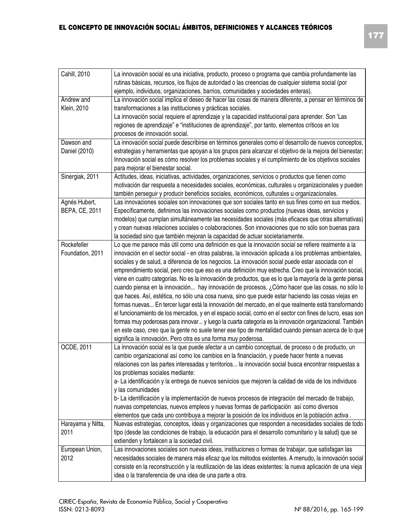$\overline{1}$ 

 $\overline{\phantom{a}}$ 

| Cahill, 2010                    | La innovación social es una iniciativa, producto, proceso o programa que cambia profundamente las<br>rutinas básicas, recursos, los flujos de autoridad o las creencias de cualquier sistema social (por<br>ejemplo, individuos, organizaciones, barrios, comunidades y sociedades enteras).                                                                                                                                                                                                                                                                                                                                                                                                                                                                                                                                                                                                                                                                                                                                                                                                                                                                                                                                                                      |
|---------------------------------|-------------------------------------------------------------------------------------------------------------------------------------------------------------------------------------------------------------------------------------------------------------------------------------------------------------------------------------------------------------------------------------------------------------------------------------------------------------------------------------------------------------------------------------------------------------------------------------------------------------------------------------------------------------------------------------------------------------------------------------------------------------------------------------------------------------------------------------------------------------------------------------------------------------------------------------------------------------------------------------------------------------------------------------------------------------------------------------------------------------------------------------------------------------------------------------------------------------------------------------------------------------------|
| Andrew and<br>Klein, 2010       | La innovación social implica el deseo de hacer las cosas de manera diferente, a pensar en términos de<br>transformaciones a las instituciones y prácticas sociales.<br>La innovación social requiere el aprendizaje y la capacidad institucional para aprender. Son 'Las<br>regiones de aprendizaje" e "instituciones de aprendizaje", por tanto, elementos críticos en los<br>procesos de innovación social.                                                                                                                                                                                                                                                                                                                                                                                                                                                                                                                                                                                                                                                                                                                                                                                                                                                     |
| Dawson and<br>Daniel (2010)     | La innovación social puede describirse en términos generales como el desarrollo de nuevos conceptos,<br>estrategias y herramientas que apoyan a los grupos para alcanzar el objetivo de la mejora del bienestar;<br>Innovación social es cómo resolver los problemas sociales y el cumplimiento de los objetivos sociales<br>para mejorar el bienestar social.                                                                                                                                                                                                                                                                                                                                                                                                                                                                                                                                                                                                                                                                                                                                                                                                                                                                                                    |
| Sinergiak, 2011                 | Actitudes, ideas, iniciativas, actividades, organizaciones, servicios o productos que tienen como<br>motivación dar respuesta a necesidades sociales, económicas, culturales u organizacionales y pueden<br>también perseguir y producir beneficios sociales, económicos, culturales u organizacionales.                                                                                                                                                                                                                                                                                                                                                                                                                                                                                                                                                                                                                                                                                                                                                                                                                                                                                                                                                          |
| Agnés Hubert,<br>BEPA, CE, 2011 | Las innovaciones sociales son innovaciones que son sociales tanto en sus fines como en sus medios.<br>Específicamente, definimos las innovaciones sociales como productos (nuevas ideas, servicios y<br>modelos) que cumplan simultáneamente las necesidades sociales (más eficaces que otras alternativas)<br>y crean nuevas relaciones sociales o colaboraciones. Son innovaciones que no sólo son buenas para<br>la sociedad sino que también mejoran la capacidad de actuar societariamente.                                                                                                                                                                                                                                                                                                                                                                                                                                                                                                                                                                                                                                                                                                                                                                  |
| Rockefeller<br>Foundation, 2011 | Lo que me parece más útil como una definición es que la innovación social se refiere realmente a la<br>innovación en el sector social - en otras palabras, la innovación aplicada a los problemas ambientales,<br>sociales y de salud, a diferencia de los negocios. La innovación social puede estar asociada con el<br>emprendimiento social, pero creo que eso es una definición muy estrecha. Creo que la innovación social,<br>viene en cuatro categorías. No es la innovación de productos, que es lo que la mayoría de la gente piensa<br>cuando piensa en la innovación hay innovación de procesos. ¿Cómo hacer que las cosas, no sólo lo<br>que haces. Así, estética, no sólo una cosa nueva, sino que puede estar haciendo las cosas viejas en<br>formas nuevas En tercer lugar está la innovación del mercado, en el que realmente está transformando<br>el funcionamiento de los mercados, y en el espacio social, como en el sector con fines de lucro, esas son<br>formas muy poderosas para innovar y luego la cuarta categoría es la innovación organizacional. También<br>en este caso, creo que la gente no suele tener ese tipo de mentalidad cuando piensan acerca de lo que<br>significa la innovación. Pero otra es una forma muy poderosa. |
| OCDE, 2011                      | La innovación social es la que puede afectar a un cambio conceptual, de proceso o de producto, un<br>cambio organizacional así como los cambios en la financiación, y puede hacer frente a nuevas<br>relaciones con las partes interesadas y territorios la innovación social busca encontrar respuestas a<br>los problemas sociales mediante:<br>a-La identificación y la entrega de nuevos servicios que mejoren la calidad de vida de los individuos<br>y las comunidades<br>b-La identificación y la implementación de nuevos procesos de integración del mercado de trabajo,<br>nuevas competencias, nuevos empleos y nuevas formas de participación así como diversos<br>elementos que cada uno contribuya a mejorar la posición de los individuos en la población activa.                                                                                                                                                                                                                                                                                                                                                                                                                                                                                  |
| Harayama y Nitta,<br>2011       | Nuevas estrategias, conceptos, ideas y organizaciones que responden a necesidades sociales de todo<br>tipo (desde las condiciones de trabajo, la educación para el desarrollo comunitario y la salud) que se<br>extienden y fortalecen a la sociedad civil.                                                                                                                                                                                                                                                                                                                                                                                                                                                                                                                                                                                                                                                                                                                                                                                                                                                                                                                                                                                                       |
| European Union,<br>2012         | Las innovaciones sociales son nuevas ideas, instituciones o formas de trabajar, que satisfagan las<br>necesidades sociales de manera más eficaz que los métodos existentes. A menudo, la innovación social<br>consiste en la reconstrucción y la reutilización de las ideas existentes: la nueva aplicación de una vieja<br>idea o la transferencia de una idea de una parte a otra.                                                                                                                                                                                                                                                                                                                                                                                                                                                                                                                                                                                                                                                                                                                                                                                                                                                                              |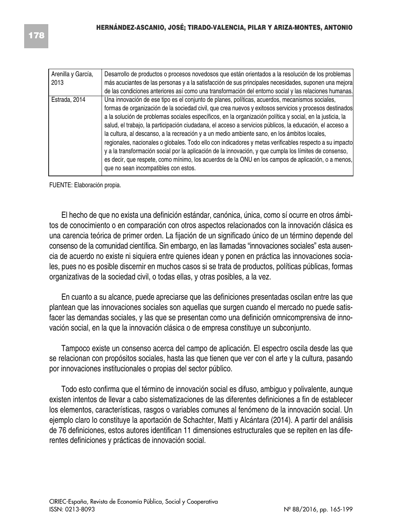| Arenilla y García,<br>2013 | Desarrollo de productos o procesos novedosos que están orientados a la resolución de los problemas<br>más acuciantes de las personas y a la satisfacción de sus principales necesidades, suponen una mejora<br>de las condiciones anteriores así como una transformación del entorno social y las relaciones humanas.                                                                                                                                                                                                                                                                                                                                                                                                                                                                                                                                                                                 |
|----------------------------|-------------------------------------------------------------------------------------------------------------------------------------------------------------------------------------------------------------------------------------------------------------------------------------------------------------------------------------------------------------------------------------------------------------------------------------------------------------------------------------------------------------------------------------------------------------------------------------------------------------------------------------------------------------------------------------------------------------------------------------------------------------------------------------------------------------------------------------------------------------------------------------------------------|
| Estrada, 2014              | Una innovación de ese tipo es el conjunto de planes, políticas, acuerdos, mecanismos sociales,<br>formas de organización de la sociedad civil, que crea nuevos y exitosos servicios y procesos destinados<br>a la solución de problemas sociales específicos, en la organización política y social, en la justicia, la<br>salud, el trabajo, la participación ciudadana, el acceso a servicios públicos, la educación, el acceso a<br>la cultura, al descanso, a la recreación y a un medio ambiente sano, en los ámbitos locales,<br>regionales, nacionales o globales. Todo ello con indicadores y metas verificables respecto a su impacto<br>y a la transformación social por la aplicación de la innovación, y que cumpla los límites de consenso,<br>es decir, que respete, como mínimo, los acuerdos de la ONU en los campos de aplicación, o a menos,<br>que no sean incompatibles con estos. |

FUENTE: Elaboración propia.

El hecho de que no exista una definición estándar, canónica, única, como sí ocurre en otros ámbitos de conocimiento o en comparación con otros aspectos relacionados con la innovación clásica es una carencia teórica de primer orden. La fijación de un significado único de un término depende del consenso de la comunidad científica. Sin embargo, en las llamadas "innovaciones sociales" esta ausencia de acuerdo no existe ni siquiera entre quienes idean y ponen en práctica las innovaciones sociales, pues no es posible discernir en muchos casos si se trata de productos, políticas públicas, formas organizativas de la sociedad civil, o todas ellas, y otras posibles, a la vez.

En cuanto a su alcance, puede apreciarse que las definiciones presentadas oscilan entre las que plantean que las innovaciones sociales son aquellas que surgen cuando el mercado no puede satisfacer las demandas sociales, y las que se presentan como una definición omnicomprensiva de innovación social, en la que la innovación clásica o de empresa constituye un subconjunto.

Tampoco existe un consenso acerca del campo de aplicación. El espectro oscila desde las que se relacionan con propósitos sociales, hasta las que tienen que ver con el arte y la cultura, pasando por innovaciones institucionales o propias del sector público.

Todo esto confirma que el término de innovación social es difuso, ambiguo y polivalente, aunque existen intentos de llevar a cabo sistematizaciones de las diferentes definiciones a fin de establecer los elementos, características, rasgos o variables comunes al fenómeno de la innovación social. Un ejemplo claro lo constituye la aportación de Schachter, Matti y Alcántara (2014). A partir del análisis de 76 definiciones, estos autores identifican 11 dimensiones estructurales que se repiten en las diferentes definiciones y prácticas de innovación social.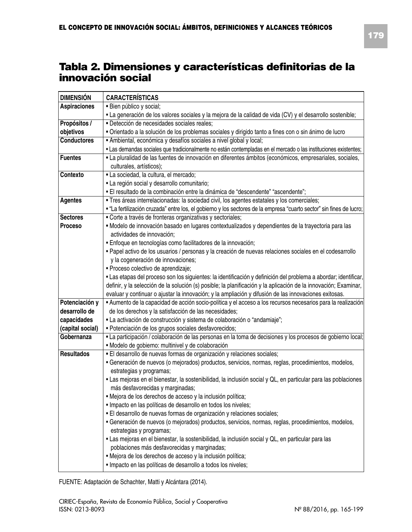### **Tabla 2. Dimensiones y características definitorias de la innovación social**

| <b>DIMENSIÓN</b>    | <b>CARACTERÍSTICAS</b>                                                                                                                                                                                                               |  |  |
|---------------------|--------------------------------------------------------------------------------------------------------------------------------------------------------------------------------------------------------------------------------------|--|--|
| <b>Aspiraciones</b> | · Bien público y social;                                                                                                                                                                                                             |  |  |
|                     | • La generación de los valores sociales y la mejora de la calidad de vida (CV) y el desarrollo sostenible;                                                                                                                           |  |  |
| Propósitos /        | · Detección de necesidades sociales reales;                                                                                                                                                                                          |  |  |
| objetivos           | · Orientado a la solución de los problemas sociales y dirigido tanto a fines con o sin ánimo de lucro                                                                                                                                |  |  |
| <b>Conductores</b>  | • Ambiental, económica y desafíos sociales a nivel global y local;                                                                                                                                                                   |  |  |
|                     | • Las demandas sociales que tradicionalmente no están contempladas en el mercado o las instituciones existentes;                                                                                                                     |  |  |
| <b>Fuentes</b>      | • La pluralidad de las fuentes de innovación en diferentes ámbitos (económicos, empresariales, sociales,                                                                                                                             |  |  |
|                     | culturales, artísticos);                                                                                                                                                                                                             |  |  |
| Contexto            | · La sociedad, la cultura, el mercado;                                                                                                                                                                                               |  |  |
|                     | · La región social y desarrollo comunitario;                                                                                                                                                                                         |  |  |
|                     | • El resultado de la combinación entre la dinámica de "descendente" "ascendente";                                                                                                                                                    |  |  |
| Agentes             | · Tres áreas interrelacionadas: la sociedad civil, los agentes estatales y los comerciales;                                                                                                                                          |  |  |
|                     | • "La fertilización cruzada" entre los, el gobierno y los sectores de la empresa "cuarto sector" sin fines de lucro;                                                                                                                 |  |  |
| <b>Sectores</b>     | · Corte a través de fronteras organizativas y sectoriales;                                                                                                                                                                           |  |  |
| Proceso             | · Modelo de innovación basado en lugares contextualizados y dependientes de la trayectoria para las                                                                                                                                  |  |  |
|                     | actividades de innovación:                                                                                                                                                                                                           |  |  |
|                     | · Enfoque en tecnologías como facilitadores de la innovación;                                                                                                                                                                        |  |  |
|                     | · Papel activo de los usuarios / personas y la creación de nuevas relaciones sociales en el codesarrollo                                                                                                                             |  |  |
|                     | y la cogeneración de innovaciones;                                                                                                                                                                                                   |  |  |
|                     | · Proceso colectivo de aprendizaje;                                                                                                                                                                                                  |  |  |
|                     | · Las etapas del proceso son los siguientes: la identificación y definición del problema a abordar; identificar,<br>definir, y la selección de la solución (s) posible; la planificación y la aplicación de la innovación; Examinar, |  |  |
|                     | evaluar y continuar o ajustar la innovación; y la ampliación y difusión de las innovaciones exitosas.                                                                                                                                |  |  |
| Potenciación y      | · Aumento de la capacidad de acción socio-política y el acceso a los recursos necesarios para la realización                                                                                                                         |  |  |
| desarrollo de       | de los derechos y la satisfacción de las necesidades;                                                                                                                                                                                |  |  |
| capacidades         | • La activación de construcción y sistema de colaboración o "andamiaje";                                                                                                                                                             |  |  |
| (capital social)    | · Potenciación de los grupos sociales desfavorecidos;                                                                                                                                                                                |  |  |
| Gobernanza          | • La participación / colaboración de las personas en la toma de decisiones y los procesos de gobierno local;                                                                                                                         |  |  |
|                     | · Modelo de gobierno: multinivel y de colaboración                                                                                                                                                                                   |  |  |
| Resultados          | · El desarrollo de nuevas formas de organización y relaciones sociales;                                                                                                                                                              |  |  |
|                     | · Generación de nuevos (o mejorados) productos, servicios, normas, reglas, procedimientos, modelos,                                                                                                                                  |  |  |
|                     | estrategias y programas;                                                                                                                                                                                                             |  |  |
|                     | · Las mejoras en el bienestar, la sostenibilidad, la inclusión social y QL, en particular para las poblaciones                                                                                                                       |  |  |
|                     | más desfavorecidas y marginadas;                                                                                                                                                                                                     |  |  |
|                     | · Mejora de los derechos de acceso y la inclusión política;                                                                                                                                                                          |  |  |
|                     | · Impacto en las políticas de desarrollo en todos los niveles;                                                                                                                                                                       |  |  |
|                     | · El desarrollo de nuevas formas de organización y relaciones sociales;                                                                                                                                                              |  |  |
|                     | · Generación de nuevos (o mejorados) productos, servicios, normas, reglas, procedimientos, modelos,                                                                                                                                  |  |  |
|                     | estrategias y programas;                                                                                                                                                                                                             |  |  |
|                     | • Las mejoras en el bienestar, la sostenibilidad, la inclusión social y QL, en particular para las                                                                                                                                   |  |  |
|                     | poblaciones más desfavorecidas y marginadas;                                                                                                                                                                                         |  |  |
|                     | · Mejora de los derechos de acceso y la inclusión política;                                                                                                                                                                          |  |  |
|                     | · Impacto en las políticas de desarrollo a todos los niveles;                                                                                                                                                                        |  |  |

FUENTE: Adaptación de Schachter, Matti y Alcántara (2014).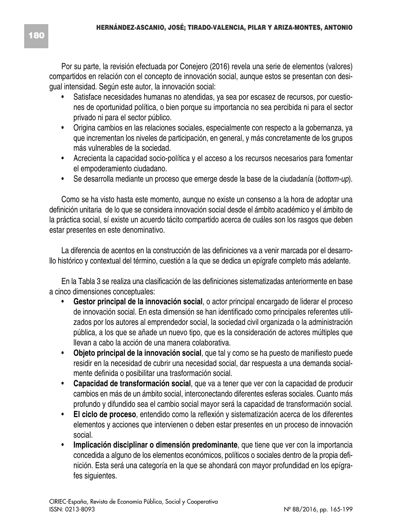Por su parte, la revisión efectuada por Conejero (2016) revela una serie de elementos (valores) compartidos en relación con el concepto de innovación social, aunque estos se presentan con desigual intensidad. Según este autor, la innovación social:

- Satisface necesidades humanas no atendidas, ya sea por escasez de recursos, por cuestiones de oportunidad política, o bien porque su importancia no sea percibida ni para el sector privado ni para el sector público.
- Origina cambios en las relaciones sociales, especialmente con respecto a la gobernanza, ya que incrementan los niveles de participación, en general, y más concretamente de los grupos más vulnerables de la sociedad.
- Acrecienta la capacidad socio-política y el acceso a los recursos necesarios para fomentar el empoderamiento ciudadano.
- Se desarrolla mediante un proceso que emerge desde la base de la ciudadanía (*bottom-up*).

Como se ha visto hasta este momento, aunque no existe un consenso a la hora de adoptar una definición unitaria de lo que se considera innovación social desde el ámbito académico y el ámbito de la práctica social, sí existe un acuerdo tácito compartido acerca de cuáles son los rasgos que deben estar presentes en este denominativo.

La diferencia de acentos en la construcción de las definiciones va a venir marcada por el desarrollo histórico y contextual del término, cuestión a la que se dedica un epígrafe completo más adelante.

En la Tabla 3 se realiza una clasificación de las definiciones sistematizadas anteriormente en base a cinco dimensiones conceptuales:

- **Gestor principal de la innovación social**, o actor principal encargado de liderar el proceso de innovación social. En esta dimensión se han identificado como principales referentes utilizados por los autores al emprendedor social, la sociedad civil organizada o la administración pública, a los que se añade un nuevo tipo, que es la consideración de actores múltiples que llevan a cabo la acción de una manera colaborativa.
- **Objeto principal de la innovación social**, que tal y como se ha puesto de manifiesto puede residir en la necesidad de cubrir una necesidad social, dar respuesta a una demanda socialmente definida o posibilitar una trasformación social.
- **Capacidad de transformación social**, que va a tener que ver con la capacidad de producir cambios en más de un ámbito social, interconectando diferentes esferas sociales. Cuanto más profundo y difundido sea el cambio social mayor será la capacidad de transformación social.
- **El ciclo de proceso**, entendido como la reflexión y sistematización acerca de los diferentes elementos y acciones que intervienen o deben estar presentes en un proceso de innovación social.
- **Implicación disciplinar o dimensión predominante**, que tiene que ver con la importancia concedida a alguno de los elementos económicos, políticos o sociales dentro de la propia definición. Esta será una categoría en la que se ahondará con mayor profundidad en los epígrafes siguientes.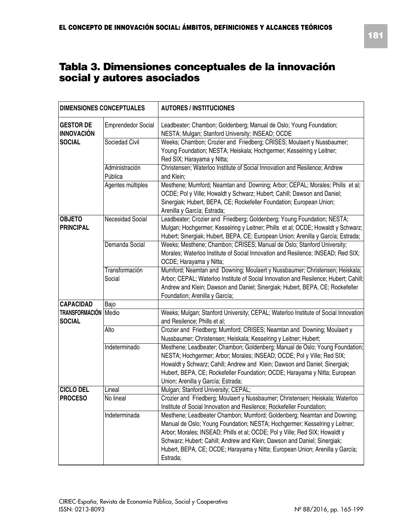| <b>DIMENSIONES CONCEPTUALES</b>                        |                           | <b>AUTORES / INSTITUCIONES</b>                                                                                                                                                                                                                                                                                                                                                                               |
|--------------------------------------------------------|---------------------------|--------------------------------------------------------------------------------------------------------------------------------------------------------------------------------------------------------------------------------------------------------------------------------------------------------------------------------------------------------------------------------------------------------------|
| <b>GESTOR DE</b><br><b>INNOVACIÓN</b><br><b>SOCIAL</b> | <b>Emprendedor Social</b> | Leadbeater; Chambon; Goldenberg; Manual de Oslo; Young Foundation;<br>NESTA; Mulgan; Stanford University; INSEAD; OCDE                                                                                                                                                                                                                                                                                       |
|                                                        | Sociedad Civil            | Weeks; Chambon; Crozier and Friedberg; CRISES; Moulaert y Nussbaumer;<br>Young Foundation; NESTA; Heiskala; Hochgermer; Kesselring y Leitner;<br>Red SIX; Harayama y Nitta;                                                                                                                                                                                                                                  |
|                                                        | Administración            | Christensen; Waterloo Institute of Social Innovation and Resilence; Andrew                                                                                                                                                                                                                                                                                                                                   |
|                                                        | Pública                   | and Klein:                                                                                                                                                                                                                                                                                                                                                                                                   |
|                                                        | Agentes múltiples         | Mesthene; Mumford; Neamtan and Downing; Arbor; CEPAL; Morales; Phills et al;<br>OCDE; Pol y Ville; Howaldt y Schwarz; Hubert; Cahill; Dawson and Daniel;<br>Sinergiak; Hubert, BEPA, CE; Rockefeller Foundation; European Union;<br>Arenilla y García; Estrada;                                                                                                                                              |
| <b>OBJETO</b>                                          | Necesidad Social          | Leadbeater; Crozier and Friedberg; Goldenberg; Young Foundation; NESTA;                                                                                                                                                                                                                                                                                                                                      |
| <b>PRINCIPAL</b>                                       |                           | Mulgan; Hochgermer; Kesselring y Leitner; Phills et al; OCDE; Howaldt y Schwarz;<br>Hubert; Sinergiak; Hubert, BEPA, CE; European Union; Arenilla y García; Estrada;                                                                                                                                                                                                                                         |
|                                                        | Demanda Social            | Weeks; Mesthene; Chambon; CRISES; Manual de Oslo; Stanford University;<br>Morales; Waterloo Institute of Social Innovation and Resilence; INSEAD; Red SIX;<br>OCDE; Harayama y Nitta;                                                                                                                                                                                                                        |
|                                                        | Transformación            | Mumford; Neamtan and Downing; Moulaert y Nussbaumer; Christensen; Heiskala;                                                                                                                                                                                                                                                                                                                                  |
|                                                        | Social                    | Arbor; CEPAL; Waterloo Institute of Social Innovation and Resilence; Hubert; Cahill;<br>Andrew and Klein; Dawson and Daniel; Sinergiak; Hubert, BEPA, CE; Rockefeller<br>Foundation; Arenilla y García;                                                                                                                                                                                                      |
| <b>CAPACIDAD</b>                                       | Bajo                      |                                                                                                                                                                                                                                                                                                                                                                                                              |
| <b>TRANSFORMACIÓN Medio</b><br><b>SOCIAL</b>           |                           | Weeks; Mulgan; Stanford University; CEPAL; Waterloo Institute of Social Innovation<br>and Resilence: Phills et al:                                                                                                                                                                                                                                                                                           |
|                                                        | Alto                      | Crozier and Friedberg; Mumford; CRISES; Neamtan and Downing; Moulaert y<br>Nussbaumer; Christensen; Heiskala; Kesselring y Leitner; Hubert;                                                                                                                                                                                                                                                                  |
|                                                        | Indeterminado             | Mesthene; Leadbeater; Chambon; Goldenberg; Manual de Oslo; Young Foundation;<br>NESTA; Hochgermer; Arbor; Morales; INSEAD; OCDE; Pol y Ville; Red SIX;<br>Howaldt y Schwarz; Cahill; Andrew and Klein; Dawson and Daniel; Sinergiak;<br>Hubert, BEPA, CE; Rockefeller Foundation; OCDE; Harayama y Nitta; European<br>Union; Arenilla y García; Estrada;                                                     |
| <b>CICLO DEL</b>                                       | Lineal                    | Mulgan; Stanford University; CEPAL;                                                                                                                                                                                                                                                                                                                                                                          |
| <b>PROCESO</b>                                         | No lineal                 | Crozier and Friedberg; Moulaert y Nussbaumer; Christensen; Heiskala; Waterloo<br>Institute of Social Innovation and Resilence; Rockefeller Foundation;                                                                                                                                                                                                                                                       |
|                                                        | Indeterminada             | Mesthene; Leadbeater Chambon; Mumford; Goldenberg; Neamtan and Downing;<br>Manual de Oslo; Young Foundation; NESTA; Hochgermer; Kesselring y Leitner;<br>Arbor; Morales; INSEAD; Phills et al; OCDE; Pol y Ville; Red SIX; Howaldt y<br>Schwarz; Hubert; Cahill; Andrew and Klein; Dawson and Daniel; Sinergiak;<br>Hubert, BEPA, CE; OCDE; Harayama y Nitta; European Union; Arenilla y García;<br>Estrada; |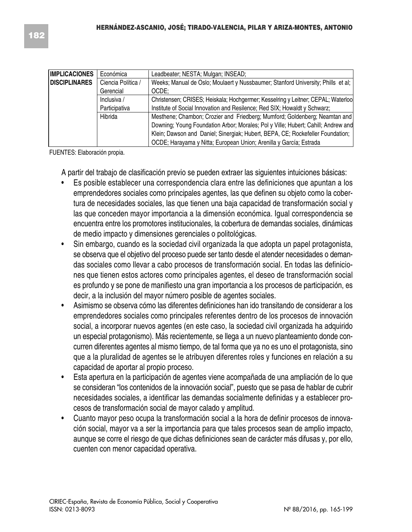| IIMPLICACIONES       | Económica          | Leadbeater; NESTA; Mulgan; INSEAD;                                                |
|----------------------|--------------------|-----------------------------------------------------------------------------------|
| <b>DISCIPLINARES</b> | Ciencia Política / | Weeks; Manual de Oslo; Moulaert y Nussbaumer; Stanford University; Phills et al;  |
|                      | Gerencial          | OCDE:                                                                             |
|                      | Inclusiva /        | Christensen; CRISES; Heiskala; Hochgermer; Kesselring y Leitner; CEPAL; Waterlool |
|                      | Participativa      | Institute of Social Innovation and Resilence; Red SIX; Howaldt y Schwarz;         |
|                      | Hibrida            | Mesthene; Chambon; Crozier and Friedberg; Mumford; Goldenberg; Neamtan and        |
|                      |                    | Downing: Young Foundation Arbor; Morales; Pol y Ville; Hubert; Cahill; Andrew and |
|                      |                    | Klein; Dawson and Daniel; Sinergiak; Hubert, BEPA, CE; Rockefeller Foundation;    |
|                      |                    | OCDE; Harayama y Nitta; European Union; Arenilla y García; Estrada                |

FUENTES: Elaboración propia.

A partir del trabajo de clasificación previo se pueden extraer las siguientes intuiciones básicas:

- Es posible establecer una correspondencia clara entre las definiciones que apuntan a los emprendedores sociales como principales agentes, las que definen su objeto como la cobertura de necesidades sociales, las que tienen una baja capacidad de transformación social y las que conceden mayor importancia a la dimensión económica. Igual correspondencia se encuentra entre los promotores institucionales, la cobertura de demandas sociales, dinámicas de medio impacto y dimensiones gerenciales o politológicas.
- Sin embargo, cuando es la sociedad civil organizada la que adopta un papel protagonista, se observa que el objetivo del proceso puede ser tanto desde el atender necesidades o demandas sociales como llevar a cabo procesos de transformación social. En todas las definiciones que tienen estos actores como principales agentes, el deseo de transformación social es profundo y se pone de manifiesto una gran importancia a los procesos de participación, es decir, a la inclusión del mayor número posible de agentes sociales.
- Asimismo se observa cómo las diferentes definiciones han ido transitando de considerar a los emprendedores sociales como principales referentes dentro de los procesos de innovación social, a incorporar nuevos agentes (en este caso, la sociedad civil organizada ha adquirido un especial protagonismo). Más recientemente, se llega a un nuevo planteamiento donde concurren diferentes agentes al mismo tiempo, de tal forma que ya no es uno el protagonista, sino que a la pluralidad de agentes se le atribuyen diferentes roles y funciones en relación a su capacidad de aportar al propio proceso.
- Esta apertura en la participación de agentes viene acompañada de una ampliación de lo que se consideran "los contenidos de la innovación social", puesto que se pasa de hablar de cubrir necesidades sociales, a identificar las demandas socialmente definidas y a establecer procesos de transformación social de mayor calado y amplitud.
- Cuanto mayor peso ocupa la transformación social a la hora de definir procesos de innovación social, mayor va a ser la importancia para que tales procesos sean de amplio impacto, aunque se corre el riesgo de que dichas definiciones sean de carácter más difusas y, por ello, cuenten con menor capacidad operativa.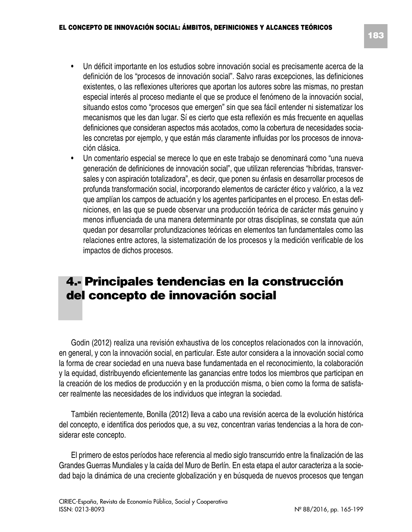- Un déficit importante en los estudios sobre innovación social es precisamente acerca de la definición de los "procesos de innovación social". Salvo raras excepciones, las definiciones existentes, o las reflexiones ulteriores que aportan los autores sobre las mismas, no prestan especial interés al proceso mediante el que se produce el fenómeno de la innovación social, situando estos como "procesos que emergen" sin que sea fácil entender ni sistematizar los mecanismos que les dan lugar. Sí es cierto que esta reflexión es más frecuente en aquellas definiciones que consideran aspectos más acotados, como la cobertura de necesidades sociales concretas por ejemplo, y que están más claramente influidas por los procesos de innovación clásica.
- Un comentario especial se merece lo que en este trabajo se denominará como "una nueva generación de definiciones de innovación social", que utilizan referencias "híbridas, transversales y con aspiración totalizadora", es decir, que ponen su énfasis en desarrollar procesos de profunda transformación social, incorporando elementos de carácter ético y valórico, a la vez que amplían los campos de actuación y los agentes participantes en el proceso. En estas definiciones, en las que se puede observar una producción teórica de carácter más genuino y menos influenciada de una manera determinante por otras disciplinas, se constata que aún quedan por desarrollar profundizaciones teóricas en elementos tan fundamentales como las relaciones entre actores, la sistematización de los procesos y la medición verificable de los impactos de dichos procesos.

# **4.- Principales tendencias en la construcción del concepto de innovación social**

Godin (2012) realiza una revisión exhaustiva de los conceptos relacionados con la innovación, en general, y con la innovación social, en particular. Este autor considera a la innovación social como la forma de crear sociedad en una nueva base fundamentada en el reconocimiento, la colaboración y la equidad, distribuyendo eficientemente las ganancias entre todos los miembros que participan en la creación de los medios de producción y en la producción misma, o bien como la forma de satisfacer realmente las necesidades de los individuos que integran la sociedad.

También recientemente, Bonilla (2012) lleva a cabo una revisión acerca de la evolución histórica del concepto, e identifica dos periodos que, a su vez, concentran varias tendencias a la hora de considerar este concepto.

El primero de estos períodos hace referencia al medio siglo transcurrido entre la finalización de las Grandes Guerras Mundiales y la caída del Muro de Berlín. En esta etapa el autor caracteriza a la sociedad bajo la dinámica de una creciente globalización y en búsqueda de nuevos procesos que tengan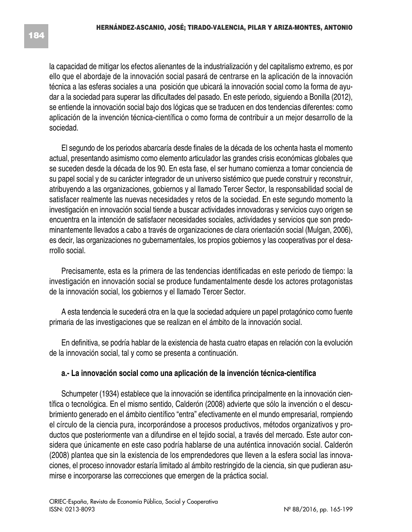la capacidad de mitigar los efectos alienantes de la industrialización y del capitalismo extremo, es por ello que el abordaje de la innovación social pasará de centrarse en la aplicación de la innovación técnica a las esferas sociales a una posición que ubicará la innovación social como la forma de ayudar a la sociedad para superar las dificultades del pasado. En este periodo, siguiendo a Bonilla (2012), se entiende la innovación social bajo dos lógicas que se traducen en dos tendencias diferentes: como aplicación de la invención técnica-científica o como forma de contribuir a un mejor desarrollo de la sociedad.

El segundo de los periodos abarcaría desde finales de la década de los ochenta hasta el momento actual, presentando asimismo como elemento articulador las grandes crisis económicas globales que se suceden desde la década de los 90. En esta fase, el ser humano comienza a tomar conciencia de su papel social y de su carácter integrador de un universo sistémico que puede construir y reconstruir, atribuyendo a las organizaciones, gobiernos y al llamado Tercer Sector, la responsabilidad social de satisfacer realmente las nuevas necesidades y retos de la sociedad. En este segundo momento la investigación en innovación social tiende a buscar actividades innovadoras y servicios cuyo origen se encuentra en la intención de satisfacer necesidades sociales, actividades y servicios que son predominantemente llevados a cabo a través de organizaciones de clara orientación social (Mulgan, 2006), es decir, las organizaciones no gubernamentales, los propios gobiernos y las cooperativas por el desarrollo social.

Precisamente, esta es la primera de las tendencias identificadas en este periodo de tiempo: la investigación en innovación social se produce fundamentalmente desde los actores protagonistas de la innovación social, los gobiernos y el llamado Tercer Sector.

A esta tendencia le sucederá otra en la que la sociedad adquiere un papel protagónico como fuente primaria de las investigaciones que se realizan en el ámbito de la innovación social.

En definitiva, se podría hablar de la existencia de hasta cuatro etapas en relación con la evolución de la innovación social, tal y como se presenta a continuación.

#### **a.- La innovación social como una aplicación de la invención técnica-científica**

Schumpeter (1934) establece que la innovación se identifica principalmente en la innovación científica o tecnológica. En el mismo sentido, Calderón (2008) advierte que sólo la invención o el descubrimiento generado en el ámbito científico "entra" efectivamente en el mundo empresarial, rompiendo el círculo de la ciencia pura, incorporándose a procesos productivos, métodos organizativos y productos que posteriormente van a difundirse en el tejido social, a través del mercado. Este autor considera que únicamente en este caso podría hablarse de una auténtica innovación social. Calderón (2008) plantea que sin la existencia de los emprendedores que lleven a la esfera social las innovaciones, el proceso innovador estaría limitado al ámbito restringido de la ciencia, sin que pudieran asumirse e incorporarse las correcciones que emergen de la práctica social.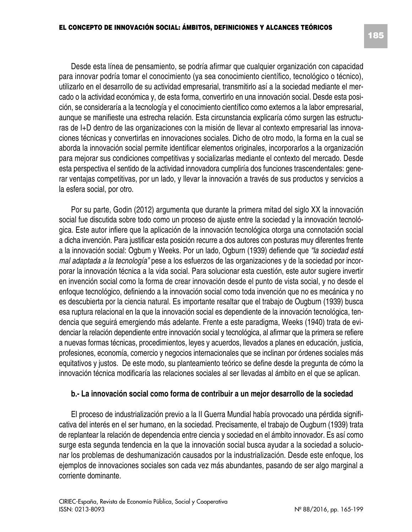Desde esta línea de pensamiento, se podría afirmar que cualquier organización con capacidad para innovar podría tomar el conocimiento (ya sea conocimiento científico, tecnológico o técnico), utilizarlo en el desarrollo de su actividad empresarial, transmitirlo así a la sociedad mediante el mercado o la actividad económica y, de esta forma, convertirlo en una innovación social. Desde esta posición, se consideraría a la tecnología y el conocimiento científico como externos a la labor empresarial, aunque se manifieste una estrecha relación. Esta circunstancia explicaría cómo surgen las estructuras de I+D dentro de las organizaciones con la misión de llevar al contexto empresarial las innovaciones técnicas y convertirlas en innovaciones sociales. Dicho de otro modo, la forma en la cual se aborda la innovación social permite identificar elementos originales, incorporarlos a la organización para mejorar sus condiciones competitivas y socializarlas mediante el contexto del mercado. Desde esta perspectiva el sentido de la actividad innovadora cumpliría dos funciones trascendentales: generar ventajas competitivas, por un lado, y llevar la innovación a través de sus productos y servicios a

Por su parte, Godin (2012) argumenta que durante la primera mitad del siglo XX la innovación social fue discutida sobre todo como un proceso de ajuste entre la sociedad y la innovación tecnológica. Este autor infiere que la aplicación de la innovación tecnológica otorga una connotación social a dicha invención. Para justificar esta posición recurre a dos autores con posturas muy diferentes frente a la innovación social: Ogbum y Weeks. Por un lado, Ogburn (1939) defiende que *"la sociedad está mal adaptada a la tecnología"* pese a los esfuerzos de las organizaciones y de la sociedad por incorporar la innovación técnica a la vida social. Para solucionar esta cuestión, este autor sugiere invertir en invención social como la forma de crear innovación desde el punto de vista social, y no desde el enfoque tecnológico, definiendo a la innovación social como toda invención que no es mecánica y no es descubierta por la ciencia natural. Es importante resaltar que el trabajo de Ougburn (1939) busca esa ruptura relacional en la que la innovación social es dependiente de la innovación tecnológica, tendencia que seguirá emergiendo más adelante. Frente a este paradigma, Weeks (1940) trata de evidenciar la relación dependiente entre innovación social y tecnológica, al afirmar que la primera se refiere a nuevas formas técnicas, procedimientos, leyes y acuerdos, llevados a planes en educación, justicia, profesiones, economía, comercio y negocios internacionales que se inclinan por órdenes sociales más equitativos y justos. De este modo, su planteamiento teórico se define desde la pregunta de cómo la innovación técnica modificaría las relaciones sociales al ser llevadas al ámbito en el que se aplican.

#### **b.- La innovación social como forma de contribuir a un mejor desarrollo de la sociedad**

El proceso de industrialización previo a la II Guerra Mundial había provocado una pérdida significativa del interés en el ser humano, en la sociedad. Precisamente, el trabajo de Ougburn (1939) trata de replantear la relación de dependencia entre ciencia y sociedad en el ámbito innovador. Es así como surge esta segunda tendencia en la que la innovación social busca ayudar a la sociedad a solucionar los problemas de deshumanización causados por la industrialización. Desde este enfoque, los ejemplos de innovaciones sociales son cada vez más abundantes, pasando de ser algo marginal a corriente dominante.

la esfera social, por otro.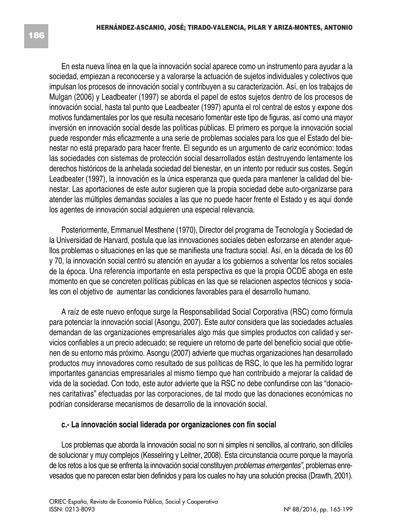En esta nueva línea en la que la innovación social aparece como un instrumento para ayudar a la sociedad, empiezan a reconocerse y a valorarse la actuación de sujetos individuales y colectivos que impulsan los procesos de innovación social y contribuyen a su caracterización. Así, en los trabajos de Mulgan (2006) y Leadbeater (1997) se aborda el papel de estos sujetos dentro de los procesos de innovación social, hasta tal punto que Leadbeater (1997) apunta el rol central de estos y expone dos motivos fundamentales por los que resulta necesario fomentar este tipo de figuras, así como una mayor inversión en innovación social desde las políticas públicas. El primero es porque la innovación social puede responder más eficazmente a una serie de problemas sociales para los que el Estado del bienestar no está preparado para hacer frente. El segundo es un argumento de cariz económico: todas las sociedades con sistemas de protección social desarrollados están destruyendo lentamente los derechos históricos de la anhelada sociedad del bienestar, en un intento por reducir sus costes. Según Leadbeater (1997), la innovación es la única esperanza que queda para mantener la calidad del bienestar. Las aportaciones de este autor sugieren que la propia sociedad debe auto-organizarse para atender las múltiples demandas sociales a las que no puede hacer frente el Estado y es aquí donde los agentes de innovación social adquieren una especial relevancia.

Posteriormente, Emmanuel Mesthene (1970), Director del programa de Tecnología y Sociedad de la Universidad de Harvard, postula que las innovaciones sociales deben esforzarse en atender aquellos problemas o situaciones en las que se manifiesta una fractura social. Así, en la década de los 60 y 70, la innovación social centró su atención en ayudar a los gobiernos a solventar los retos sociales de la época. Una referencia importante en esta perspectiva es que la propia OCDE aboga en este momento en que se concreten políticas públicas en las que se relacionen aspectos técnicos y sociales con el objetivo de aumentar las condiciones favorables para el desarrollo humano.

A raíz de este nuevo enfoque surge la Responsabilidad Social Corporativa (RSC) como fórmula para potenciar la innovación social (Asongu, 2007). Este autor considera que las sociedades actuales demandan de las organizaciones empresariales algo más que simples productos con calidad y servicios confiables a un precio adecuado; se requiere un retorno de parte del beneficio social que obtienen de su entorno más próximo. Asongu (2007) advierte que muchas organizaciones han desarrollado productos muy innovadores como resultado de sus políticas de RSC, lo que les ha permitido lograr importantes ganancias empresariales al mismo tiempo que han contribuido a mejorar la calidad de vida de la sociedad. Con todo, este autor advierte que la RSC no debe confundirse con las "donaciones caritativas" efectuadas por las corporaciones, de tal modo que las donaciones económicas no podrían considerarse mecanismos de desarrollo de la innovación social.

#### **c.- La innovación social liderada por organizaciones con fin social**

Los problemas que aborda la innovación social no son ni simples ni sencillos, al contrario, son difíciles de solucionar y muy complejos (Kesselring y Leitner, 2008). Esta circunstancia ocurre porque la mayoría de los retos a los que se enfrenta la innovación social constituyen *problemas emergentes",* problemas enrevesados que no parecen estar bien definidos y para los cuales no hay una solución precisa (Drawth, 2001).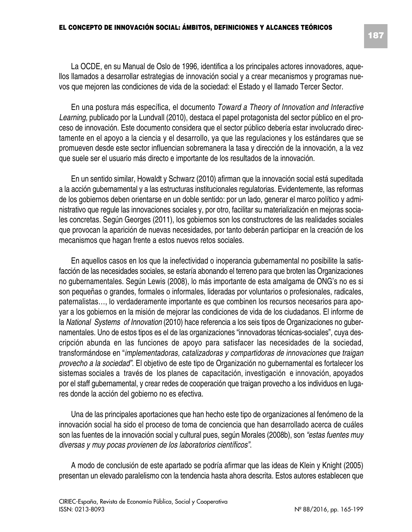En una postura más específica, el documento *Toward a Theory of Innovation and Interactive Learning,* publicado por la Lundvall (2010), destaca el papel protagonista del sector público en el proceso de innovación. Este documento considera que el sector público debería estar involucrado directamente en el apoyo a la ciencia y el desarrollo, ya que las regulaciones y los estándares que se promueven desde este sector influencian sobremanera la tasa y dirección de la innovación, a la vez que suele ser el usuario más directo e importante de los resultados de la innovación.

En un sentido similar, Howaldt y Schwarz (2010) afirman que la innovación social está supeditada a la acción gubernamental y a las estructuras institucionales regulatorias. Evidentemente, las reformas de los gobiernos deben orientarse en un doble sentido: por un lado, generar el marco político y administrativo que regule las innovaciones sociales y, por otro, facilitar su materialización en mejoras sociales concretas. Según Georges (2011), los gobiernos son los constructores de las realidades sociales que provocan la aparición de nuevas necesidades, por tanto deberán participar en la creación de los mecanismos que hagan frente a estos nuevos retos sociales.

En aquellos casos en los que la inefectividad o inoperancia gubernamental no posibilite la satisfacción de las necesidades sociales, se estaría abonando el terreno para que broten las Organizaciones no gubernamentales. Según Lewis (2008), lo más importante de esta amalgama de ONG's no es si son pequeñas o grandes, formales o informales, lideradas por voluntarios o profesionales, radicales, paternalistas…, lo verdaderamente importante es que combinen los recursos necesarios para apoyar a los gobiernos en la misión de mejorar las condiciones de vida de los ciudadanos. El informe de la *National Systems of Innovation* (2010) hace referencia a los seis tipos de Organizaciones no gubernamentales. Uno de estos tipos es el de las organizaciones "innovadoras técnicas-sociales", cuya descripción abunda en las funciones de apoyo para satisfacer las necesidades de la sociedad, transformándose en "*implementadoras, catalizadoras y compartidoras de innovaciones que traigan provecho a la sociedad"*. El objetivo de este tipo de Organización no gubernamental es fortalecer los sistemas sociales a través de los planes de capacitación, investigación e innovación, apoyados por el staff gubernamental, y crear redes de cooperación que traigan provecho a los individuos en lugares donde la acción del gobierno no es efectiva.

Una de las principales aportaciones que han hecho este tipo de organizaciones al fenómeno de la innovación social ha sido el proceso de toma de conciencia que han desarrollado acerca de cuáles son las fuentes de la innovación social y cultural pues, según Morales (2008b), son *"estas fuentes muy diversas y muy pocas provienen de los laboratorios científicos"*.

A modo de conclusión de este apartado se podría afirmar que las ideas de Klein y Knight (2005) presentan un elevado paralelismo con la tendencia hasta ahora descrita. Estos autores establecen que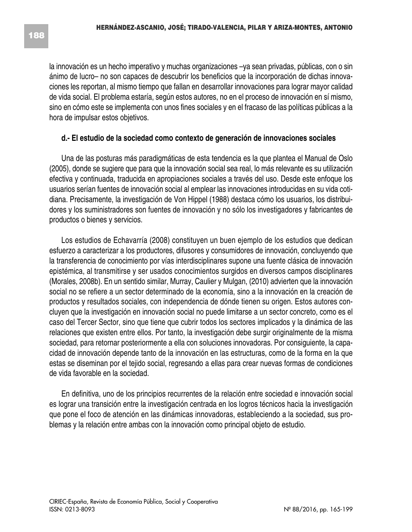la innovación es un hecho imperativo y muchas organizaciones –ya sean privadas, públicas, con o sin ánimo de lucro– no son capaces de descubrir los beneficios que la incorporación de dichas innovaciones les reportan, al mismo tiempo que fallan en desarrollar innovaciones para lograr mayor calidad de vida social. El problema estaría, según estos autores, no en el proceso de innovación en sí mismo, sino en cómo este se implementa con unos fines sociales y en el fracaso de las políticas públicas a la hora de impulsar estos objetivos.

#### **d.- El estudio de la sociedad como contexto de generación de innovaciones sociales**

Una de las posturas más paradigmáticas de esta tendencia es la que plantea el Manual de Oslo (2005), donde se sugiere que para que la innovación social sea real, lo más relevante es su utilización efectiva y continuada, traducida en apropiaciones sociales a través del uso. Desde este enfoque los usuarios serían fuentes de innovación social al emplear las innovaciones introducidas en su vida cotidiana. Precisamente, la investigación de Von Hippel (1988) destaca cómo los usuarios, los distribuidores y los suministradores son fuentes de innovación y no sólo los investigadores y fabricantes de productos o bienes y servicios.

Los estudios de Echavarría (2008) constituyen un buen ejemplo de los estudios que dedican esfuerzo a caracterizar a los productores, difusores y consumidores de innovación, concluyendo que la transferencia de conocimiento por vías interdisciplinares supone una fuente clásica de innovación epistémica, al transmitirse y ser usados conocimientos surgidos en diversos campos disciplinares (Morales, 2008b). En un sentido similar, Murray, Caulier y Mulgan, (2010) advierten que la innovación social no se refiere a un sector determinado de la economía, sino a la innovación en la creación de productos y resultados sociales, con independencia de dónde tienen su origen. Estos autores concluyen que la investigación en innovación social no puede limitarse a un sector concreto, como es el caso del Tercer Sector, sino que tiene que cubrir todos los sectores implicados y la dinámica de las relaciones que existen entre ellos. Por tanto, la investigación debe surgir originalmente de la misma sociedad, para retornar posteriormente a ella con soluciones innovadoras. Por consiguiente, la capacidad de innovación depende tanto de la innovación en las estructuras, como de la forma en la que estas se diseminan por el tejido social, regresando a ellas para crear nuevas formas de condiciones de vida favorable en la sociedad.

En definitiva, uno de los principios recurrentes de la relación entre sociedad e innovación social es lograr una transición entre la investigación centrada en los logros técnicos hacia la investigación que pone el foco de atención en las dinámicas innovadoras, estableciendo a la sociedad, sus problemas y la relación entre ambas con la innovación como principal objeto de estudio.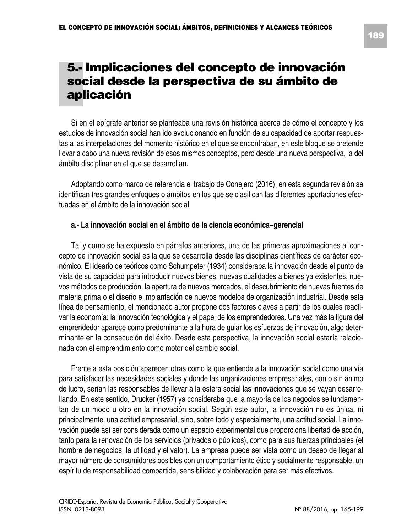# **5.- Implicaciones del concepto de innovación social desde la perspectiva de su ámbito de aplicación**

Si en el epígrafe anterior se planteaba una revisión histórica acerca de cómo el concepto y los estudios de innovación social han ido evolucionando en función de su capacidad de aportar respuestas a las interpelaciones del momento histórico en el que se encontraban, en este bloque se pretende llevar a cabo una nueva revisión de esos mismos conceptos, pero desde una nueva perspectiva, la del ámbito disciplinar en el que se desarrollan.

Adoptando como marco de referencia el trabajo de Conejero (2016), en esta segunda revisión se identifican tres grandes enfoques o ámbitos en los que se clasifican las diferentes aportaciones efectuadas en el ámbito de la innovación social.

#### **a.- La innovación social en el ámbito de la ciencia económica–gerencial**

Tal y como se ha expuesto en párrafos anteriores, una de las primeras aproximaciones al concepto de innovación social es la que se desarrolla desde las disciplinas científicas de carácter económico. El ideario de teóricos como Schumpeter (1934) consideraba la innovación desde el punto de vista de su capacidad para introducir nuevos bienes, nuevas cualidades a bienes ya existentes, nuevos métodos de producción, la apertura de nuevos mercados, el descubrimiento de nuevas fuentes de materia prima o el diseño e implantación de nuevos modelos de organización industrial. Desde esta línea de pensamiento, el mencionado autor propone dos factores claves a partir de los cuales reactivar la economía: la innovación tecnológica y el papel de los emprendedores. Una vez más la figura del emprendedor aparece como predominante a la hora de guiar los esfuerzos de innovación, algo determinante en la consecución del éxito. Desde esta perspectiva, la innovación social estaría relacionada con el emprendimiento como motor del cambio social.

Frente a esta posición aparecen otras como la que entiende a la innovación social como una vía para satisfacer las necesidades sociales y donde las organizaciones empresariales, con o sin ánimo de lucro, serían las responsables de llevar a la esfera social las innovaciones que se vayan desarrollando. En este sentido, Drucker (1957) ya consideraba que la mayoría de los negocios se fundamentan de un modo u otro en la innovación social. Según este autor, la innovación no es única, ni principalmente, una actitud empresarial, sino, sobre todo y especialmente, una actitud social. La innovación puede así ser considerada como un espacio experimental que proporciona libertad de acción, tanto para la renovación de los servicios (privados o públicos), como para sus fuerzas principales (el hombre de negocios, la utilidad y el valor). La empresa puede ser vista como un deseo de llegar al mayor número de consumidores posibles con un comportamiento ético y socialmente responsable, un espíritu de responsabilidad compartida, sensibilidad y colaboración para ser más efectivos.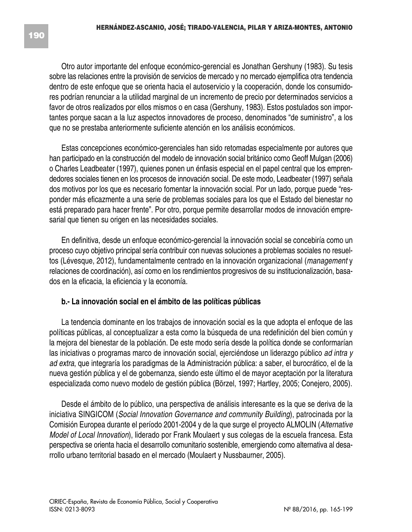Otro autor importante del enfoque económico-gerencial es Jonathan Gershuny (1983). Su tesis sobre las relaciones entre la provisión de servicios de mercado y no mercado ejemplifica otra tendencia dentro de este enfoque que se orienta hacia el autoservicio y la cooperación, donde los consumidores podrían renunciar a la utilidad marginal de un incremento de precio por determinados servicios a favor de otros realizados por ellos mismos o en casa (Gershuny, 1983). Estos postulados son importantes porque sacan a la luz aspectos innovadores de proceso, denominados "de suministro", a los que no se prestaba anteriormente suficiente atención en los análisis económicos.

Estas concepciones económico-gerenciales han sido retomadas especialmente por autores que han participado en la construcción del modelo de innovación social británico como Geoff Mulgan (2006) o Charles Leadbeater (1997), quienes ponen un énfasis especial en el papel central que los emprendedores sociales tienen en los procesos de innovación social. De este modo, Leadbeater (1997) señala dos motivos por los que es necesario fomentar la innovación social. Por un lado, porque puede "responder más eficazmente a una serie de problemas sociales para los que el Estado del bienestar no está preparado para hacer frente". Por otro, porque permite desarrollar modos de innovación empresarial que tienen su origen en las necesidades sociales.

En definitiva, desde un enfoque económico-gerencial la innovación social se concebiría como un proceso cuyo objetivo principal sería contribuir con nuevas soluciones a problemas sociales no resueltos (Lévesque, 2012), fundamentalmente centrado en la innovación organizacional (*management* y relaciones de coordinación), así como en los rendimientos progresivos de su institucionalización, basados en la eficacia, la eficiencia y la economía.

#### **b.- La innovación social en el ámbito de las políticas públicas**

La tendencia dominante en los trabajos de innovación social es la que adopta el enfoque de las políticas públicas, al conceptualizar a esta como la búsqueda de una redefinición del bien común y la mejora del bienestar de la población. De este modo sería desde la política donde se conformarían las iniciativas o programas marco de innovación social, ejerciéndose un liderazgo público *ad intra y ad extra*, que integraría los paradigmas de la Administración pública: a saber, el burocrático, el de la nueva gestión pública y el de gobernanza, siendo este último el de mayor aceptación por la literatura especializada como nuevo modelo de gestión pública (Börzel, 1997; Hartley, 2005; Conejero, 2005).

Desde el ámbito de lo público, una perspectiva de análisis interesante es la que se deriva de la iniciativa SINGICOM (*Social Innovation Governance and community Building*), patrocinada por la Comisión Europea durante el período 2001-2004 y de la que surge el proyecto ALMOLIN (*Alternative Model of Local Innovation*), liderado por Frank Moulaert y sus colegas de la escuela francesa. Esta perspectiva se orienta hacia el desarrollo comunitario sostenible, emergiendo como alternativa al desarrollo urbano territorial basado en el mercado (Moulaert y Nussbaurner, 2005).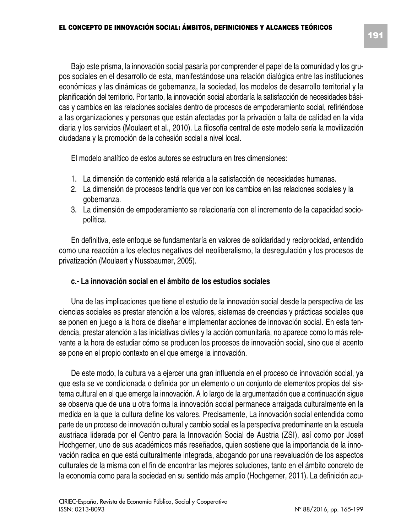Bajo este prisma, la innovación social pasaría por comprender el papel de la comunidad y los grupos sociales en el desarrollo de esta, manifestándose una relación dialógica entre las instituciones económicas y las dinámicas de gobernanza, la sociedad, los modelos de desarrollo territorial y la planificación del territorio. Por tanto, la innovación social abordaría la satisfacción de necesidades básicas y cambios en las relaciones sociales dentro de procesos de empoderamiento social, refiriéndose a las organizaciones y personas que están afectadas por la privación o falta de calidad en la vida diaria y los servicios (Moulaert et al., 2010). La filosofía central de este modelo sería la movilización ciudadana y la promoción de la cohesión social a nivel local.

El modelo analítico de estos autores se estructura en tres dimensiones:

- 1. La dimensión de contenido está referida a la satisfacción de necesidades humanas.
- 2. La dimensión de procesos tendría que ver con los cambios en las relaciones sociales y la gobernanza.
- 3. La dimensión de empoderamiento se relacionaría con el incremento de la capacidad sociopolítica.

En definitiva, este enfoque se fundamentaría en valores de solidaridad y reciprocidad, entendido como una reacción a los efectos negativos del neoliberalismo, la desregulación y los procesos de privatización (Moulaert y Nussbaumer, 2005).

#### **c.- La innovación social en el ámbito de los estudios sociales**

Una de las implicaciones que tiene el estudio de la innovación social desde la perspectiva de las ciencias sociales es prestar atención a los valores, sistemas de creencias y prácticas sociales que se ponen en juego a la hora de diseñar e implementar acciones de innovación social. En esta tendencia, prestar atención a las iniciativas civiles y la acción comunitaria, no aparece como lo más relevante a la hora de estudiar cómo se producen los procesos de innovación social, sino que el acento se pone en el propio contexto en el que emerge la innovación.

De este modo, la cultura va a ejercer una gran influencia en el proceso de innovación social, ya que esta se ve condicionada o definida por un elemento o un conjunto de elementos propios del sistema cultural en el que emerge la innovación. A lo largo de la argumentación que a continuación sigue se observa que de una u otra forma la innovación social permanece arraigada culturalmente en la medida en la que la cultura define los valores. Precisamente, La innovación social entendida como parte de un proceso de innovación cultural y cambio social es la perspectiva predominante en la escuela austriaca liderada por el Centro para la Innovación Social de Austria (ZSI), así como por Josef Hochgerner, uno de sus académicos más reseñados, quien sostiene que la importancia de la innovación radica en que está culturalmente integrada, abogando por una reevaluación de los aspectos culturales de la misma con el fin de encontrar las mejores soluciones, tanto en el ámbito concreto de la economía como para la sociedad en su sentido más amplio (Hochgerner, 2011). La definición acu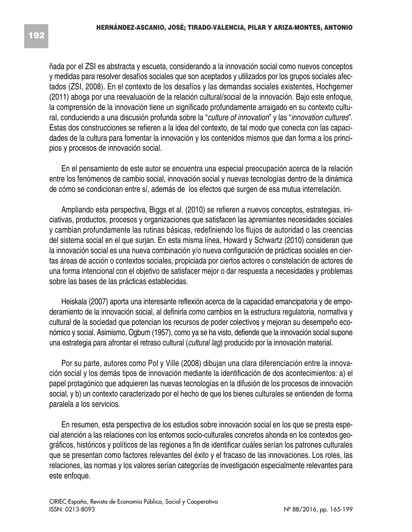ñada por el ZSI es abstracta y escueta, considerando a la innovación social como nuevos conceptos y medidas para resolver desafíos sociales que son aceptados y utilizados por los grupos sociales afectados (ZSI, 2008). En el contexto de los desafíos y las demandas sociales existentes, Hochgerner (2011) aboga por una reevaluación de la relación cultural/social de la innovación. Bajo este enfoque, la comprensión de la innovación tiene un significado profundamente arraigado en su contexto cultural, conduciendo a una discusión profunda sobre la "*culture of innovation*" y las "*innovation cultures*". Estas dos construcciones se refieren a la idea del contexto, de tal modo que conecta con las capacidades de la cultura para fomentar la innovación y los contenidos mismos que dan forma a los principios y procesos de innovación social.

En el pensamiento de este autor se encuentra una especial preocupación acerca de la relación entre los fenómenos de cambio social, innovación social y nuevas tecnologías dentro de la dinámica de cómo se condicionan entre sí, además de los efectos que surgen de esa mutua interrelación.

Ampliando esta perspectiva, Biggs et al. (2010) se refieren a nuevos conceptos, estrategias, iniciativas, productos, procesos y organizaciones que satisfacen las apremiantes necesidades sociales y cambian profundamente las rutinas básicas, redefiniendo los flujos de autoridad o las creencias del sistema social en el que surjan. En esta misma línea, Howard y Schwartz (2010) consideran que la innovación social es una nueva combinación y/o nueva configuración de prácticas sociales en ciertas áreas de acción o contextos sociales, propiciada por ciertos actores o constelación de actores de una forma intencional con el objetivo de satisfacer mejor o dar respuesta a necesidades y problemas sobre las bases de las prácticas establecidas.

Heiskala (2007) aporta una interesante reflexión acerca de la capacidad emancipatoria y de empoderamiento de la innovación social, al definirla como cambios en la estructura regulatoria, normativa y cultural de la sociedad que potencian los recursos de poder colectivos y mejoran su desempeño económico y social*.* Asimismo, Ogburn (1957), como ya se ha visto, defiende que la innovación social supone una estrategia para afrontar el retraso cultural (*cultural lag*) producido por la innovación material.

Por su parte, autores como Pol y Ville (2008) dibujan una clara diferenciación entre la innovación social y los demás tipos de innovación mediante la identificación de dos acontecimientos: a) el papel protagónico que adquieren las nuevas tecnologías en la difusión de los procesos de innovación social, y b) un contexto caracterizado por el hecho de que los bienes culturales se entienden de forma paralela a los servicios.

En resumen, esta perspectiva de los estudios sobre innovación social en los que se presta especial atención a las relaciones con los entornos socio-culturales concretos ahonda en los contextos geográficos, históricos y políticos de las regiones a fin de identificar cuáles serían los patrones culturales que se presentan como factores relevantes del éxito y el fracaso de las innovaciones. Los roles, las relaciones, las normas y los valores serían categorías de investigación especialmente relevantes para este enfoque.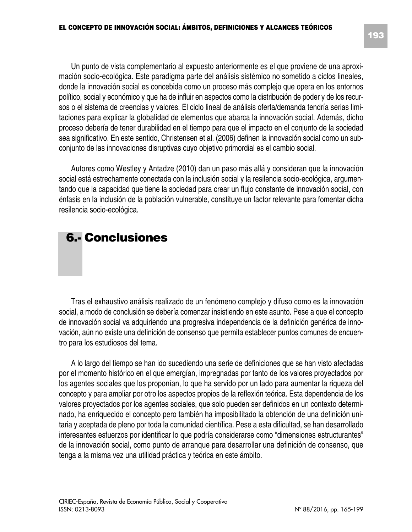Un punto de vista complementario al expuesto anteriormente es el que proviene de una aproximación socio-ecológica. Este paradigma parte del análisis sistémico no sometido a ciclos lineales, donde la innovación social es concebida como un proceso más complejo que opera en los entornos político, social y económico y que ha de influir en aspectos como la distribución de poder y de los recursos o el sistema de creencias y valores. El ciclo lineal de análisis oferta/demanda tendría serias limitaciones para explicar la globalidad de elementos que abarca la innovación social. Además, dicho proceso debería de tener durabilidad en el tiempo para que el impacto en el conjunto de la sociedad sea significativo. En este sentido, Christensen et al. (2006) definen la innovación social como un subconjunto de las innovaciones disruptivas cuyo objetivo primordial es el cambio social.

Autores como Westley y Antadze (2010) dan un paso más allá y consideran que la innovación social está estrechamente conectada con la inclusión social y la resilencia socio-ecológica, argumentando que la capacidad que tiene la sociedad para crear un flujo constante de innovación social, con énfasis en la inclusión de la población vulnerable, constituye un factor relevante para fomentar dicha resilencia socio-ecológica.

## **6.- Conclusiones**

Tras el exhaustivo análisis realizado de un fenómeno complejo y difuso como es la innovación social, a modo de conclusión se debería comenzar insistiendo en este asunto. Pese a que el concepto de innovación social va adquiriendo una progresiva independencia de la definición genérica de innovación, aún no existe una definición de consenso que permita establecer puntos comunes de encuentro para los estudiosos del tema.

A lo largo del tiempo se han ido sucediendo una serie de definiciones que se han visto afectadas por el momento histórico en el que emergían, impregnadas por tanto de los valores proyectados por los agentes sociales que los proponían, lo que ha servido por un lado para aumentar la riqueza del concepto y para ampliar por otro los aspectos propios de la reflexión teórica. Esta dependencia de los valores proyectados por los agentes sociales, que solo pueden ser definidos en un contexto determinado, ha enriquecido el concepto pero también ha imposibilitado la obtención de una definición unitaria y aceptada de pleno por toda la comunidad científica. Pese a esta dificultad, se han desarrollado interesantes esfuerzos por identificar lo que podría considerarse como "dimensiones estructurantes" de la innovación social, como punto de arranque para desarrollar una definición de consenso, que tenga a la misma vez una utilidad práctica y teórica en este ámbito.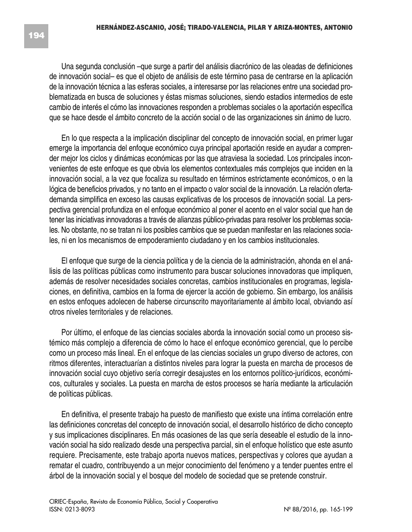Una segunda conclusión –que surge a partir del análisis diacrónico de las oleadas de definiciones de innovación social– es que el objeto de análisis de este término pasa de centrarse en la aplicación de la innovación técnica a las esferas sociales, a interesarse por las relaciones entre una sociedad problematizada en busca de soluciones y éstas mismas soluciones, siendo estadios intermedios de este cambio de interés el cómo las innovaciones responden a problemas sociales o la aportación específica que se hace desde el ámbito concreto de la acción social o de las organizaciones sin ánimo de lucro.

En lo que respecta a la implicación disciplinar del concepto de innovación social, en primer lugar emerge la importancia del enfoque económico cuya principal aportación reside en ayudar a comprender mejor los ciclos y dinámicas económicas por las que atraviesa la sociedad. Los principales inconvenientes de este enfoque es que obvia los elementos contextuales más complejos que inciden en la innovación social, a la vez que focaliza su resultado en términos estrictamente económicos, o en la lógica de beneficios privados, y no tanto en el impacto o valor social de la innovación. La relación ofertademanda simplifica en exceso las causas explicativas de los procesos de innovación social. La perspectiva gerencial profundiza en el enfoque económico al poner el acento en el valor social que han de tener las iniciativas innovadoras a través de alianzas público-privadas para resolver los problemas sociales. No obstante, no se tratan ni los posibles cambios que se puedan manifestar en las relaciones sociales, ni en los mecanismos de empoderamiento ciudadano y en los cambios institucionales.

El enfoque que surge de la ciencia política y de la ciencia de la administración, ahonda en el análisis de las políticas públicas como instrumento para buscar soluciones innovadoras que impliquen, además de resolver necesidades sociales concretas, cambios institucionales en programas, legislaciones, en definitiva, cambios en la forma de ejercer la acción de gobierno. Sin embargo, los análisis en estos enfoques adolecen de haberse circunscrito mayoritariamente al ámbito local, obviando así otros niveles territoriales y de relaciones.

Por último, el enfoque de las ciencias sociales aborda la innovación social como un proceso sistémico más complejo a diferencia de cómo lo hace el enfoque económico gerencial, que lo percibe como un proceso más lineal. En el enfoque de las ciencias sociales un grupo diverso de actores, con ritmos diferentes, interactuarían a distintos niveles para lograr la puesta en marcha de procesos de innovación social cuyo objetivo sería corregir desajustes en los entornos político-jurídicos, económicos, culturales y sociales. La puesta en marcha de estos procesos se haría mediante la articulación de políticas públicas.

En definitiva, el presente trabajo ha puesto de manifiesto que existe una íntima correlación entre las definiciones concretas del concepto de innovación social, el desarrollo histórico de dicho concepto y sus implicaciones disciplinares. En más ocasiones de las que sería deseable el estudio de la innovación social ha sido realizado desde una perspectiva parcial, sin el enfoque holístico que este asunto requiere. Precisamente, este trabajo aporta nuevos matices, perspectivas y colores que ayudan a rematar el cuadro, contribuyendo a un mejor conocimiento del fenómeno y a tender puentes entre el árbol de la innovación social y el bosque del modelo de sociedad que se pretende construir.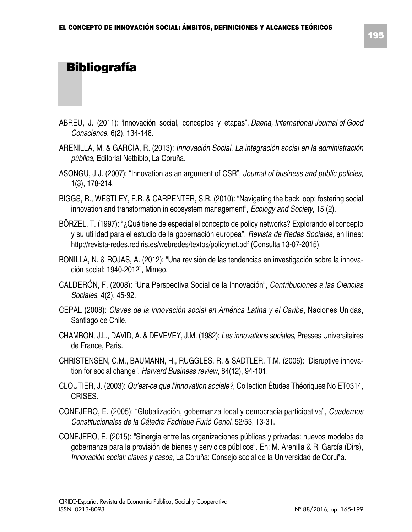# **Bibliografía**

- ABREU, J. (2011): "Innovación social, conceptos y etapas", *Daena, International Journal of Good Conscience*, 6(2), 134-148.
- ARENILLA, M. & GARCÍA, R. (2013): *Innovación Social. La integración social en la administración pública*, Editorial Netbiblo, La Coruña.
- ASONGU, J.J. (2007): "Innovation as an argument of CSR", *Journal of business and public policies*, 1(3), 178-214.
- BIGGS, R., WESTLEY, F.R. & CARPENTER, S.R. (2010): "Navigating the back loop: fostering social innovation and transformation in ecosystem management", *Ecology and Society*, 15 (2).
- BÖRZEL, T. (1997): "¿Qué tiene de especial el concepto de policy networks? Explorando el concepto y su utilidad para el estudio de la gobernación europea", *Revista de Redes Sociales*, en línea: http://revista-redes.rediris.es/webredes/textos/policynet.pdf (Consulta 13-07-2015).
- BONILLA, N. & ROJAS, A. (2012): "Una revisión de las tendencias en investigación sobre la innovación social: 1940-2012", Mimeo.
- CALDERÓN, F. (2008): "Una Perspectiva Social de la Innovación", *Contribuciones a las Ciencias Sociales*, 4(2), 45-92.
- CEPAL (2008): *Claves de la innovación social en América Latina y el Caribe*, Naciones Unidas, Santiago de Chile.
- CHAMBON, J.L., DAVID, A. & DEVEVEY, J.M. (1982): *Les innovations sociales*, Presses Universitaires de France, Paris.
- CHRISTENSEN, C.M., BAUMANN, H., RUGGLES, R. & SADTLER, T.M. (2006): "Disruptive innovation for social change", *Harvard Business review*, 84(12), 94-101.
- CLOUTIER, J. (2003): *Qu'est-ce que l'innovation sociale?*, Collection Études Théoriques No ET0314, CRISES.
- CONEJERO, E. (2005): "Globalización, gobernanza local y democracia participativa", *Cuadernos Constitucionales de la Cátedra Fadrique Furió Ceriol*, 52/53, 13-31.
- CONEJERO, E. (2015): "Sinergia entre las organizaciones públicas y privadas: nuevos modelos de gobernanza para la provisión de bienes y servicios públicos". En: M. Arenilla & R. García (Dirs), *Innovación social: claves y casos*, La Coruña: Consejo social de la Universidad de Coruña.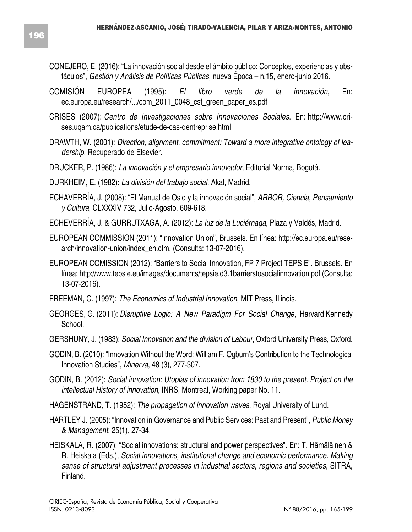- CONEJERO, E. (2016): "La innovación social desde el ámbito público: Conceptos, experiencias y obstáculos", *Gestión y Análisis de Políticas Públicas*, nueva Época – n.15, enero-junio 2016.
- COMISIÓN EUROPEA (1995): *El libro verde de la innovación*, En: ec.europa.eu/research/.../com\_2011\_0048\_csf\_green\_paper\_es.pdf
- CRISES (2007): *Centro de Investigaciones sobre Innovaciones Sociales*. En: http://www.crises.uqam.ca/publications/etude-de-cas-dentreprise.html
- DRAWTH, W. (2001): *Direction, alignment, commitment: Toward a more integrative ontology of leadership*, Recuperado de Elsevier.
- DRUCKER, P. (1986): *La innovación y el empresario innovador*, Editorial Norma, Bogotá.
- DURKHEIM, E. (1982): *La división del trabajo social*, Akal, Madrid.
- ECHAVERRÍA, J. (2008): "El Manual de Oslo y la innovación social", *ARBOR, Ciencia, Pensamiento y Cultura*, CLXXXIV 732, Julio-Agosto, 609-618.
- ECHEVERRÍA, J. & GURRUTXAGA, A. (2012): *La luz de la Luciérnaga*, Plaza y Valdés, Madrid.
- EUROPEAN COMMISSION (2011): "Innovation Union", Brussels. En línea: http://ec.europa.eu/research/innovation-union/index\_en.cfm. (Consulta: 13-07-2016).
- EUROPEAN COMISSION (2012): "Barriers to Social Innovation, FP 7 Project TEPSIE". Brussels. En línea: http://www.tepsie.eu/images/documents/tepsie.d3.1barrierstosocialinnovation.pdf (Consulta: 13-07-2016).
- FREEMAN, C. (1997): *The Economics of Industrial Innovation*, MIT Press, Illinois.
- GEORGES, G. (2011): *Disruptive Logic: A New Paradigm For Social Change*, Harvard Kennedy School.
- GERSHUNY, J. (1983): *Social Innovation and the division of Labour,* Oxford University Press, Oxford.
- GODIN, B. (2010): "Innovation Without the Word: William F. Ogburn's Contribution to the Technological Innovation Studies", *Minerva*, 48 (3), 277-307.
- GODIN, B. (2012): *Social innovation: Utopias of innovation from 1830 to the present. Project on the intellectual History of innovation*, INRS, Montreal, Working paper No. 11.
- HAGENSTRAND, T. (1952): *The propagation of innovation waves*, Royal University of Lund.
- HARTLEY J. (2005): "Innovation in Governance and Public Services: Past and Present", *Public Money & Management*, 25(1), 27-34.
- HEISKALA, R. (2007): "Social innovations: structural and power perspectives". En: T. Hämäläinen & R. Heiskala (Eds.), *Social innovations, institutional change and economic performance. Making sense of structural adjustment processes in industrial sectors, regions and societies*, SITRA, Finland.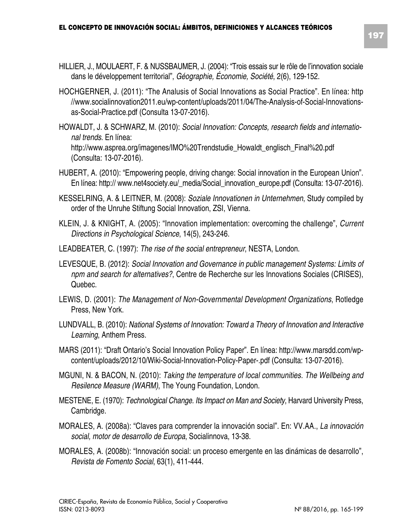- HILLIER, J., MOULAERT, F. & NUSSBAUMER, J. (2004): "Trois essais sur le rôle de l'innovation sociale dans le développement territorial", *Géographie, Économie, Société*, 2(6), 129-152.
- HOCHGERNER, J. (2011): "The Analusis of Social Innovations as Social Practice". En línea: http //www.socialinnovation2011.eu/wp-content/uploads/2011/04/The-Analysis-of-Social-Innovationsas-Social-Practice.pdf (Consulta 13-07-2016).
- HOWALDT, J. & SCHWARZ, M. (2010): *Social Innovation: Concepts, research fields and international trends*. En línea: http://www.asprea.org/imagenes/IMO%20Trendstudie\_Howaldt\_englisch\_Final%20.pdf (Consulta: 13-07-2016).
- HUBERT, A. (2010): "Empowering people, driving change: Social innovation in the European Union". En línea: http:// www.net4society.eu/\_media/Social\_innovation\_europe.pdf (Consulta: 13-07-2016).
- KESSELRING, A. & LEITNER, M. (2008): *Soziale Innovationen in Unternehmen*, Study compiled by order of the Unruhe Stiftung Social Innovation, ZSI, Vienna.
- KLEIN, J. & KNIGHT, A. (2005): "Innovation implementation: overcoming the challenge", *Current Directions in Psychological Science*, 14(5), 243-246.
- LEADBEATER, C. (1997): *The rise of the social entrepreneur*, NESTA, London.
- LEVESQUE, B. (2012): *Social Innovation and Governance in public management Systems: Limits of npm and search for alternatives?*, Centre de Recherche sur les Innovations Sociales (CRISES), Quebec.
- LEWIS, D. (2001): *The Management of Non-Governmental Development Organizations*, Rotledge Press, New York.
- LUNDVALL, B. (2010): *National Systems of Innovation: Toward a Theory of Innovation and Interactive Learning*, Anthem Press.
- MARS (2011): "Draft Ontario's Social Innovation Policy Paper". En línea: http://www.marsdd.com/wpcontent/uploads/2012/10/Wiki-Social-Innovation-Policy-Paper-.pdf (Consulta: 13-07-2016).
- MGUNI, N. & BACON, N. (2010): *Taking the temperature of local communities. The Wellbeing and Resilence Measure (WARM)*, The Young Foundation, London.
- MESTENE, E. (1970): *Technological Change. Its Impact on Man and Society*, Harvard University Press, Cambridge.
- MORALES, A. (2008a): "Claves para comprender la innovación social". En: VV.AA., *La innovación social, motor de desarrollo de Europa*, Socialinnova, 13-38.
- MORALES, A. (2008b): "Innovación social: un proceso emergente en las dinámicas de desarrollo", *Revista de Fomento Social*, 63(1), 411-444.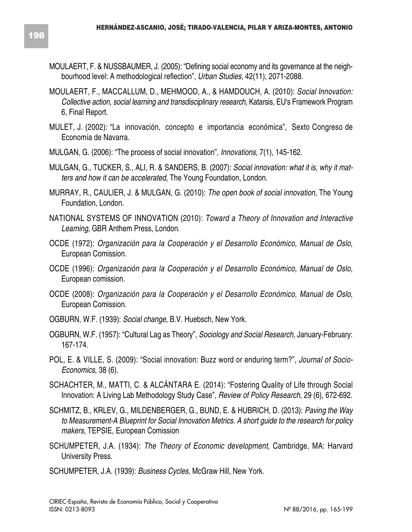- MOULAERT, F. & NUSSBAUMER, J. (2005): "Defining social economy and its governance at the neighbourhood level: A methodological reflection", *Urban Studies*, 42(11), 2071-2088.
- MOULAERT, F., MACCALLUM, D., MEHMOOD, A., & HAMDOUCH, A. (2010): *Social Innovation: Collective action, social learning and transdisciplinary research*, Katarsis, EU's Framework Program 6, Final Report.
- MULET, J. (2002): "La innovación, concepto e importancia económica", Sexto Congreso de Economía de Navarra.
- MULGAN, G. (2006): "The process of social innovation", *Innovations*, 7(1), 145-162.
- MULGAN, G., TUCKER, S., ALI, R. & SANDERS, B. (2007): *Social innovation: what it is, why it matters and how it can be accelerated*, The Young Foundation, London.
- MURRAY, R., CAULIER, J. & MULGAN, G. (2010): *The open book of social innovation*, The Young Foundation, London.
- NATIONAL SYSTEMS OF INNOVATION (2010): *Toward a Theory of Innovation and Interactive Learning*, GBR Anthem Press, London.
- OCDE (1972): *Organización para la Cooperación y el Desarrollo Económico, Manual de Oslo*, European Comission.
- OCDE (1996): *Organización para la Cooperación y el Desarrollo Económico, Manual de Oslo*, European comission.
- OCDE (2008): *Organización para la Cooperación y el Desarrollo Económico, Manual de Oslo*, European Comission.
- OGBURN, W.F. (1939): *Social change*, B.V. Huebsch, New York.
- OGBURN, W.F. (1957): "Cultural Lag as Theory", *Sociology and Social Research*, January-February: 167-174.
- POL, E. & VILLE, S. (2009): "Social innovation: Buzz word or enduring term?", *Journal of Socio-Economics*, 38 (6).
- SCHACHTER, M., MATTI, C. & ALCÁNTARA E. (2014): "Fostering Quality of Life through Social Innovation: A Living Lab Methodology Study Case", *Review of Policy Research*, 29 (6), 672-692.
- SCHMITZ, B., KRLEV, G., MILDENBERGER, G., BUND, E. & HUBRICH, D. (2013): *Paving the Way to Measurement-A Blueprint for Social Innovation Metrics. A short guide to the research for policy makers*, TEPSIE, European Comission
- SCHUMPETER, J.A. (1934): *The Theory of Economic development*, Cambridge, MA: Harvard University Press.
- SCHUMPETER, J.A. (1939): *Business Cycles*, McGraw Hill, New York.